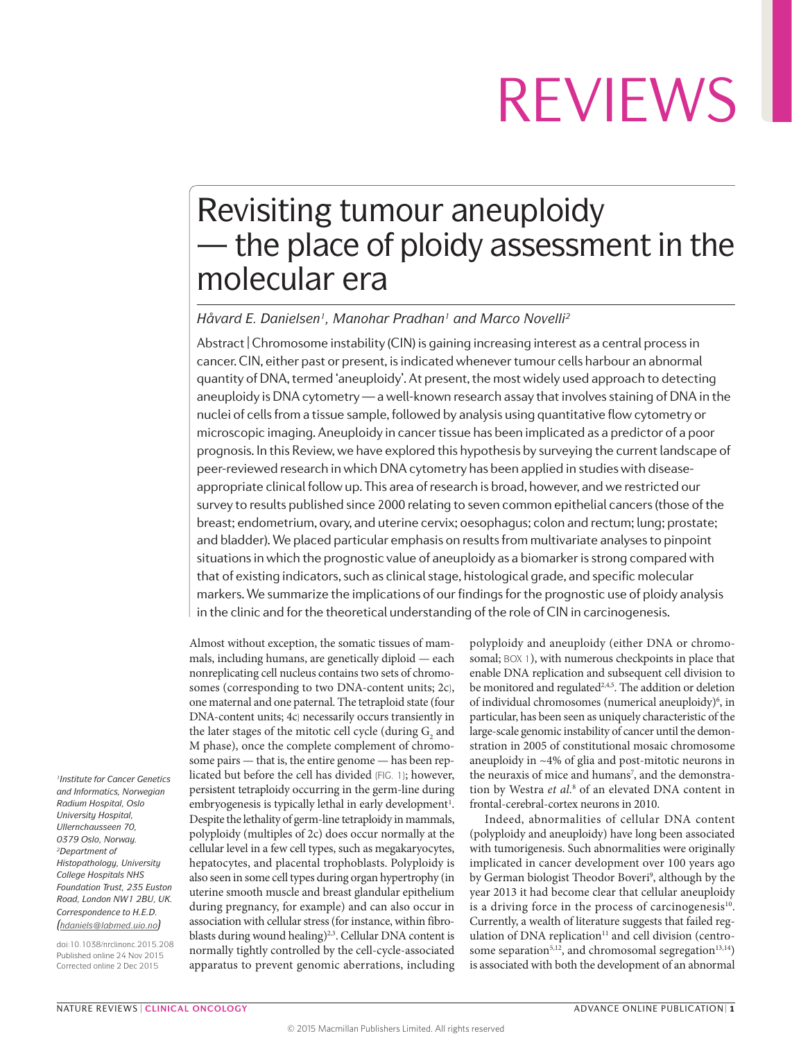## Revisiting tumour aneuploidy — the place of ploidy assessment in the molecular era

#### *Håvard E. Danielsen1, Manohar Pradhan1 and Marco Novelli2*

Abstract | Chromosome instability (CIN) is gaining increasing interest as a central process in cancer. CIN, either past or present, is indicated whenever tumour cells harbour an abnormal quantity of DNA, termed 'aneuploidy'. At present, the most widely used approach to detecting aneuploidy is DNA cytometry — a well-known research assay that involves staining of DNA in the nuclei of cells from a tissue sample, followed by analysis using quantitative flow cytometry or microscopic imaging. Aneuploidy in cancer tissue has been implicated as a predictor of a poor prognosis. In this Review, we have explored this hypothesis by surveying the current landscape of peer-reviewed research in which DNA cytometry has been applied in studies with diseaseappropriate clinical follow up. This area of research is broad, however, and we restricted our survey to results published since 2000 relating to seven common epithelial cancers (those of the breast; endometrium, ovary, and uterine cervix; oesophagus; colon and rectum; lung; prostate; and bladder). We placed particular emphasis on results from multivariate analyses to pinpoint situations in which the prognostic value of aneuploidy as a biomarker is strong compared with that of existing indicators, such as clinical stage, histological grade, and specific molecular markers. We summarize the implications of our findings for the prognostic use of ploidy analysis in the clinic and for the theoretical understanding of the role of CIN in carcinogenesis.

mals, including humans, are genetically diploid — each nonreplicating cell nucleus contains two sets of chromosomes (corresponding to two DNA-content units; 2c), one maternal and one paternal. The tetraploid state (four DNA-content units; 4c) necessarily occurs transiently in the later stages of the mitotic cell cycle (during  $\mathrm{G}_\mathrm{2}$  and M phase), once the complete complement of chromosome pairs — that is, the entire genome — has been replicated but before the cell has divided (FIG. 1); however, persistent tetraploidy occurring in the germ-line during embryogenesis is typically lethal in early development<sup>1</sup>. Despite the lethality of germ-line tetraploidy in mammals, polyploidy (multiples of 2c) does occur normally at the cellular level in a few cell types, such as megakaryocytes, hepatocytes, and placental trophoblasts. Polyploidy is also seen in some cell types during organ hypertrophy (in uterine smooth muscle and breast glandular epithelium during pregnancy, for example) and can also occur in association with cellular stress (for instance, within fibroblasts during wound healing)<sup>2,3</sup>. Cellular DNA content is normally tightly controlled by the cell-cycle-associated apparatus to prevent genomic aberrations, including

Almost without exception, the somatic tissues of mam-

polyploidy and aneuploidy (either DNA or chromosomal; BOX 1), with numerous checkpoints in place that enable DNA replication and subsequent cell division to be monitored and regulated<sup>2,4,5</sup>. The addition or deletion of individual chromosomes (numerical aneuploidy)<sup>6</sup>, in particular, has been seen as uniquely characteristic of the large-scale genomic instability of cancer until the demonstration in 2005 of constitutional mosaic chromosome aneuploidy in ~4% of glia and post-mitotic neurons in the neuraxis of mice and humans<sup>7</sup>, and the demonstration by Westra et al.<sup>8</sup> of an elevated DNA content in frontal-cerebral-cortex neurons in 2010.

Indeed, abnormalities of cellular DNA content (polyploidy and aneuploidy) have long been associated with tumorigenesis. Such abnormalities were originally implicated in cancer development over 100 years ago by German biologist Theodor Boveri<sup>9</sup>, although by the year 2013 it had become clear that cellular aneuploidy is a driving force in the process of carcinogenesis<sup>10</sup>. Currently, a wealth of literature suggests that failed regulation of DNA replication<sup>11</sup> and cell division (centrosome separation<sup>5,12</sup>, and chromosomal segregation<sup>13,14</sup>) is associated with both the development of an abnormal

*1Institute for Cancer Genetics and Informatics, Norwegian Radium Hospital, Oslo University Hospital, Ullernchausseen 70, 0379 Oslo, Norway. 2Department of Histopathology, University College Hospitals NHS Foundation Trust, 235 Euston Road, London NW1 2BU, UK. Correspondence to H.E.D. [\(hdaniels@labmed.uio.no](mailto:hdaniels@labmed.uio.no))*

doi:10.1038/nrclinonc.2015.208 Published online 24 Nov 2015 Corrected online 2 Dec 2015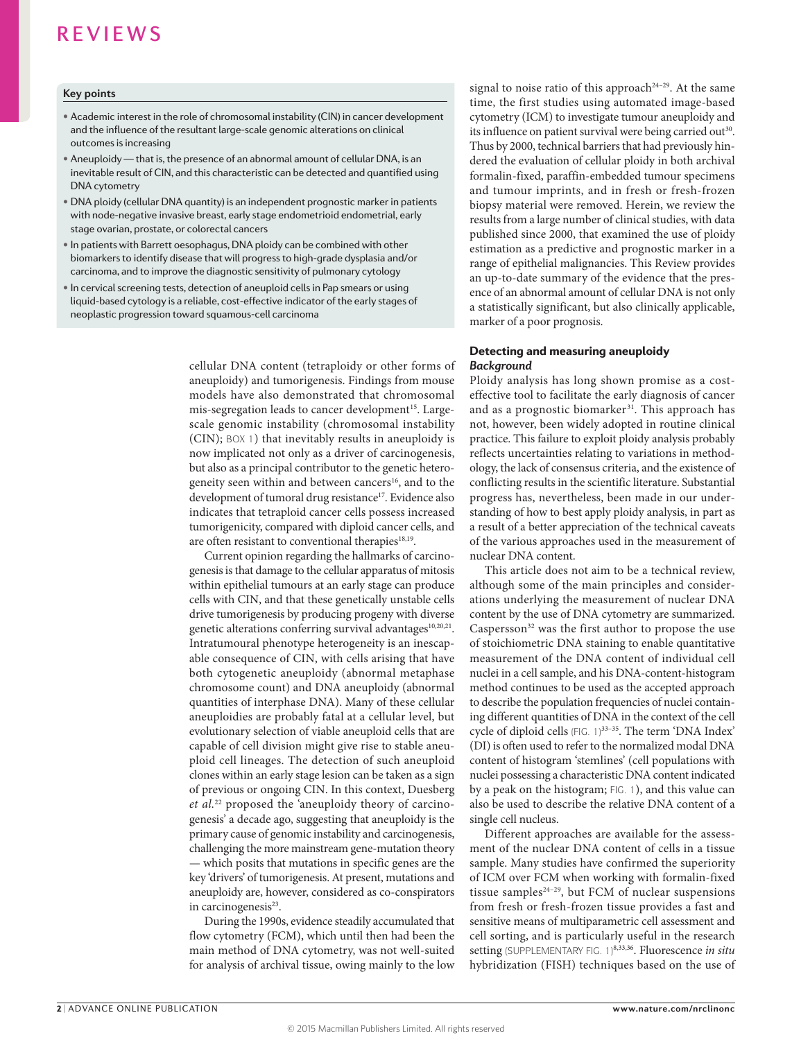#### **Key points**

- Academic interest in the role of chromosomal instability (CIN) in cancer development and the influence of the resultant large-scale genomic alterations on clinical outcomes is increasing
- Aneuploidy that is, the presence of an abnormal amount of cellular DNA, is an inevitable result of CIN, and this characteristic can be detected and quantified using DNA cytometry
- DNA ploidy (cellular DNA quantity) is an independent prognostic marker in patients with node-negative invasive breast, early stage endometrioid endometrial, early stage ovarian, prostate, or colorectal cancers
- In patients with Barrett oesophagus, DNA ploidy can be combined with other biomarkers to identify disease that will progress to high-grade dysplasia and/or carcinoma, and to improve the diagnostic sensitivity of pulmonary cytology
- In cervical screening tests, detection of aneuploid cells in Pap smears or using liquid-based cytology is a reliable, cost-effective indicator of the early stages of neoplastic progression toward squamous-cell carcinoma

cellular DNA content (tetraploidy or other forms of aneuploidy) and tumorigenesis. Findings from mouse models have also demonstrated that chromosomal mis-segregation leads to cancer development<sup>15</sup>. Largescale genomic instability (chromosomal instability (CIN); BOX 1) that inevitably results in aneuploidy is now implicated not only as a driver of carcinogenesis, but also as a principal contributor to the genetic heterogeneity seen within and between cancers<sup>16</sup>, and to the development of tumoral drug resistance<sup>17</sup>. Evidence also indicates that tetraploid cancer cells possess increased tumorigenicity, compared with diploid cancer cells, and are often resistant to conventional therapies<sup>18,19</sup>.

Current opinion regarding the hallmarks of carcinogenesis is that damage to the cellular apparatus of mitosis within epithelial tumours at an early stage can produce cells with CIN, and that these genetically unstable cells drive tumorigenesis by producing progeny with diverse genetic alterations conferring survival advantages<sup>10,20,21</sup>. Intratumoural phenotype heterogeneity is an inescapable consequence of CIN, with cells arising that have both cytogenetic aneuploidy (abnormal metaphase chromosome count) and DNA aneuploidy (abnormal quantities of interphase DNA). Many of these cellular aneuploidies are probably fatal at a cellular level, but evolutionary selection of viable aneuploid cells that are capable of cell division might give rise to stable aneuploid cell lineages. The detection of such aneuploid clones within an early stage lesion can be taken as a sign of previous or ongoing CIN. In this context, Duesberg *et al.*22 proposed the 'aneuploidy theory of carcinogenesis' a decade ago, suggesting that aneuploidy is the primary cause of genomic instability and carcinogenesis, challenging the more mainstream gene-mutation theory — which posits that mutations in specific genes are the key 'drivers' of tumorigenesis. At present, mutations and aneuploidy are, however, considered as co-conspirators in carcinogenesis<sup>23</sup>.

During the 1990s, evidence steadily accumulated that flow cytometry (FCM), which until then had been the main method of DNA cytometry, was not well-suited for analysis of archival tissue, owing mainly to the low

signal to noise ratio of this approach<sup>24-29</sup>. At the same time, the first studies using automated image-based cytometry (ICM) to investigate tumour aneuploidy and its influence on patient survival were being carried out<sup>30</sup>. Thus by 2000, technical barriers that had previously hindered the evaluation of cellular ploidy in both archival formalin-fixed, paraffin-embedded tumour specimens and tumour imprints, and in fresh or fresh-frozen biopsy material were removed. Herein, we review the results from a large number of clinical studies, with data published since 2000, that examined the use of ploidy estimation as a predictive and prognostic marker in a range of epithelial malignancies. This Review provides an up-to-date summary of the evidence that the presence of an abnormal amount of cellular DNA is not only a statistically significant, but also clinically applicable, marker of a poor prognosis.

#### Detecting and measuring aneuploidy *Background*

Ploidy analysis has long shown promise as a costeffective tool to facilitate the early diagnosis of cancer and as a prognostic biomarker<sup>31</sup>. This approach has not, however, been widely adopted in routine clinical practice. This failure to exploit ploidy analysis probably reflects uncertainties relating to variations in methodology, the lack of consensus criteria, and the existence of conflicting results in the scientific literature. Substantial progress has, nevertheless, been made in our understanding of how to best apply ploidy analysis, in part as a result of a better appreciation of the technical caveats of the various approaches used in the measurement of nuclear DNA content.

This article does not aim to be a technical review, although some of the main principles and considerations underlying the measurement of nuclear DNA content by the use of DNA cytometry are summarized. Caspersson<sup>32</sup> was the first author to propose the use of stoichiometric DNA staining to enable quantitative measurement of the DNA content of individual cell nuclei in a cell sample, and his DNA-content-histogram method continues to be used as the accepted approach to describe the population frequencies of nuclei containing different quantities of DNA in the context of the cell cycle of diploid cells (FIG. 1) 33–35. The term 'DNA Index' (DI) is often used to refer to the normalized modal DNA content of histogram 'stemlines' (cell populations with nuclei possessing a characteristic DNA content indicated by a peak on the histogram; FIG. 1), and this value can also be used to describe the relative DNA content of a single cell nucleus.

Different approaches are available for the assessment of the nuclear DNA content of cells in a tissue sample. Many studies have confirmed the superiority of ICM over FCM when working with formalin-fixed tissue samples<sup>24-29</sup>, but FCM of nuclear suspensions from fresh or fresh-frozen tissue provides a fast and sensitive means of multiparametric cell assessment and cell sorting, and is particularly useful in the research setting (SUPPLEMENTARY FIG. 1)<sup>8,33,36</sup>. Fluorescence in situ hybridization (FISH) techniques based on the use of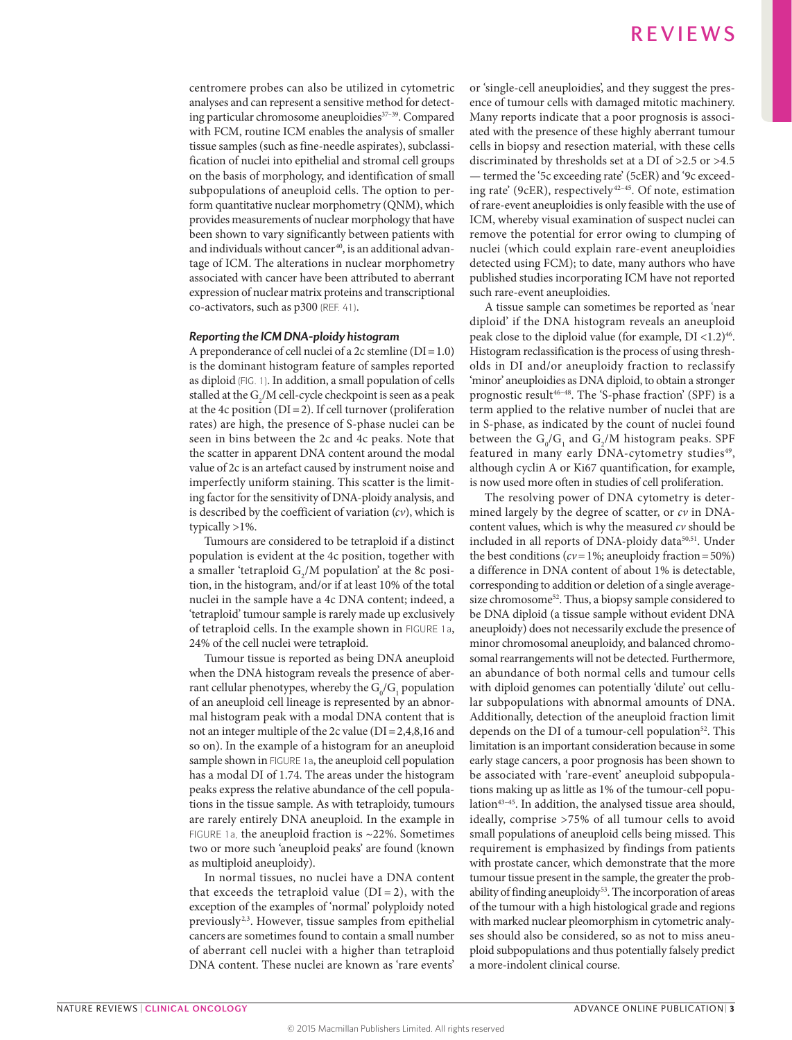centromere probes can also be utilized in cytometric analyses and can represent a sensitive method for detecting particular chromosome aneuploidies<sup>37-39</sup>. Compared with FCM, routine ICM enables the analysis of smaller tissue samples (such as fine-needle aspirates), subclassification of nuclei into epithelial and stromal cell groups on the basis of morphology, and identification of small subpopulations of aneuploid cells. The option to perform quantitative nuclear morphometry (QNM), which provides measurements of nuclear morphology that have been shown to vary significantly between patients with and individuals without cancer $^{40}$ , is an additional advantage of ICM. The alterations in nuclear morphometry associated with cancer have been attributed to aberrant expression of nuclear matrix proteins and transcriptional co-activators, such as p300 (REF. 41).

#### *Reporting the ICM DNA-ploidy histogram*

A preponderance of cell nuclei of a 2c stemline  $(DI=1.0)$ is the dominant histogram feature of samples reported as diploid (FIG. 1). In addition, a small population of cells stalled at the  $G_2/M$  cell-cycle checkpoint is seen as a peak at the 4c position (DI=2). If cell turnover (proliferation rates) are high, the presence of S-phase nuclei can be seen in bins between the 2c and 4c peaks. Note that the scatter in apparent DNA content around the modal value of 2c is an artefact caused by instrument noise and imperfectly uniform staining. This scatter is the limiting factor for the sensitivity of DNA-ploidy analysis, and is described by the coefficient of variation (*cv*), which is typically >1%.

Tumours are considered to be tetraploid if a distinct population is evident at the 4c position, together with a smaller 'tetraploid  $G_2/M$  population' at the 8c position, in the histogram, and/or if at least 10% of the total nuclei in the sample have a 4c DNA content; indeed, a 'tetraploid' tumour sample is rarely made up exclusively of tetraploid cells. In the example shown in FIGURE 1a, 24% of the cell nuclei were tetraploid.

Tumour tissue is reported as being DNA aneuploid when the DNA histogram reveals the presence of aberrant cellular phenotypes, whereby the  $G_0/G_1$  population of an aneuploid cell lineage is represented by an abnormal histogram peak with a modal DNA content that is not an integer multiple of the 2c value (DI=2,4,8,16 and so on). In the example of a histogram for an aneuploid sample shown in FIGURE 1a, the aneuploid cell population has a modal DI of 1.74. The areas under the histogram peaks express the relative abundance of the cell populations in the tissue sample. As with tetraploidy, tumours are rarely entirely DNA aneuploid. In the example in FIGURE 1a, the aneuploid fraction is ~22%. Sometimes two or more such 'aneuploid peaks' are found (known as multiploid aneuploidy).

In normal tissues, no nuclei have a DNA content that exceeds the tetraploid value  $(DI = 2)$ , with the exception of the examples of 'normal' polyploidy noted previously<sup>2,3</sup>. However, tissue samples from epithelial cancers are sometimes found to contain a small number of aberrant cell nuclei with a higher than tetraploid DNA content. These nuclei are known as 'rare events'

or 'single-cell aneuploidies', and they suggest the presence of tumour cells with damaged mitotic machinery. Many reports indicate that a poor prognosis is associated with the presence of these highly aberrant tumour cells in biopsy and resection material, with these cells discriminated by thresholds set at a DI of >2.5 or >4.5 — termed the '5c exceeding rate' (5cER) and '9c exceeding rate' (9cER), respectively<sup>42-45</sup>. Of note, estimation of rare-event aneuploidies is only feasible with the use of ICM, whereby visual examination of suspect nuclei can remove the potential for error owing to clumping of nuclei (which could explain rare-event aneuploidies detected using FCM); to date, many authors who have published studies incorporating ICM have not reported such rare-event aneuploidies.

A tissue sample can sometimes be reported as 'near diploid' if the DNA histogram reveals an aneuploid peak close to the diploid value (for example,  $DI < 1.2$ )<sup>46</sup>. Histogram reclassification is the process of using thresholds in DI and/or aneuploidy fraction to reclassify 'minor' aneuploidies as DNA diploid, to obtain a stronger prognostic result<sup>46-48</sup>. The 'S-phase fraction' (SPF) is a term applied to the relative number of nuclei that are in S-phase, as indicated by the count of nuclei found between the  $G_0/G_1$  and  $G_2/M$  histogram peaks. SPF featured in many early DNA-cytometry studies<sup>49</sup>, although cyclin A or Ki67 quantification, for example, is now used more often in studies of cell proliferation.

The resolving power of DNA cytometry is determined largely by the degree of scatter, or *cv* in DNAcontent values, which is why the measured *cv* should be included in all reports of DNA-ploidy data<sup>50,51</sup>. Under the best conditions ( $cv=1\%$ ; aneuploidy fraction = 50%) a difference in DNA content of about 1% is detectable, corresponding to addition or deletion of a single averagesize chromosome<sup>52</sup>. Thus, a biopsy sample considered to be DNA diploid (a tissue sample without evident DNA aneuploidy) does not necessarily exclude the presence of minor chromosomal aneuploidy, and balanced chromosomal rearrangements will not be detected. Furthermore, an abundance of both normal cells and tumour cells with diploid genomes can potentially 'dilute' out cellular subpopulations with abnormal amounts of DNA. Additionally, detection of the aneuploid fraction limit depends on the DI of a tumour-cell population<sup>52</sup>. This limitation is an important consideration because in some early stage cancers, a poor prognosis has been shown to be associated with 'rare-event' aneuploid subpopulations making up as little as 1% of the tumour-cell population<sup>43-45</sup>. In addition, the analysed tissue area should, ideally, comprise >75% of all tumour cells to avoid small populations of aneuploid cells being missed. This requirement is emphasized by findings from patients with prostate cancer, which demonstrate that the more tumour tissue present in the sample, the greater the probability of finding aneuploidy<sup>53</sup>. The incorporation of areas of the tumour with a high histological grade and regions with marked nuclear pleomorphism in cytometric analyses should also be considered, so as not to miss aneuploid subpopulations and thus potentially falsely predict a more-indolent clinical course.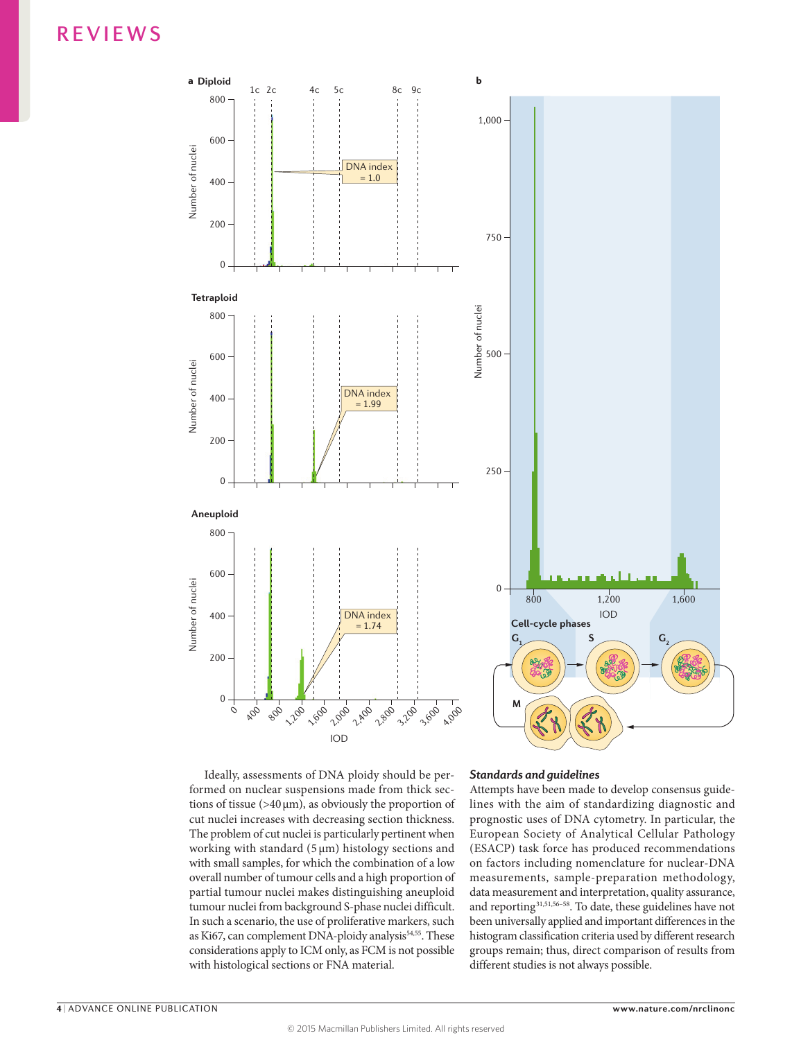

Ideally, assessments of DNA ploidy should be performed on nuclear suspensions made from thick sections of tissue ( $>40 \mu m$ ), as obviously the proportion of cut nuclei increases with decreasing section thickness. The problem of cut nuclei is particularly pertinent when working with standard  $(5 \mu m)$  histology sections and with small samples, for which the combination of a low overall number of tumour cells and a high proportion of partial tumour nuclei makes distinguishing aneuploid tumour nuclei from background S-phase nuclei difficult. In such a scenario, the use of proliferative markers, such as Ki67, can complement DNA-ploidy analysis<sup>54,55</sup>. These considerations apply to ICM only, as FCM is not possible with histological sections or FNA material.

#### **Standards and guidelines**

Attempts have been made to develop consensus guidelines with the aim of standardizing diagnostic and prognostic uses of DNA cytometry. In particular, the European Society of Analytical Cellular Pathology (ESACP) task force has produced recommendations on factors including nomenclature for nuclear-DNA measurements, sample-preparation methodology, data measurement and interpretation, quality assurance, and reporting<sup>31,51,56-58</sup>. To date, these guidelines have not been universally applied and important differences in the histogram classification criteria used by different research groups remain; thus, direct comparison of results from different studies is not always possible.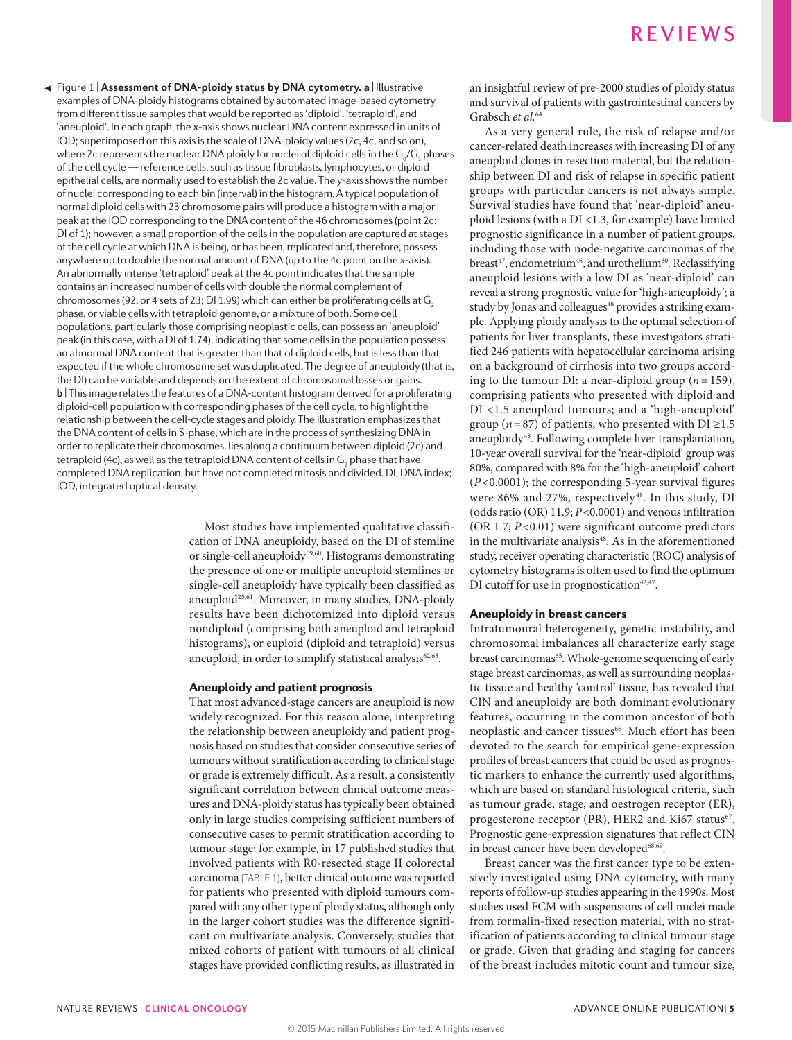Figure 1 | **Assessment of DNA-ploidy status by DNA cytometry. a** | Illustrative ◀ examples of DNA-ploidy histograms obtained by automated image-based cytometry from different tissue samples that would be reported as 'diploid', 'tetraploid', and 'aneuploid'. In each graph, the *x*-axis shows nuclear DNA content expressed in units of IOD; superimposed on this axis is the scale of DNA-ploidy values (2c, 4c, and so on), where 2c represents the nuclear DNA ploidy for nuclei of diploid cells in the  $\mathsf{G_o/G_i}$  phases of the cell cycle — reference cells, such as tissue fibroblasts, lymphocytes, or diploid epithelial cells, are normally used to establish the 2c value. The *y*-axis shows the number of nuclei corresponding to each bin (interval) in the histogram. A typical population of normal diploid cells with 23 chromosome pairs will produce a histogram with a major peak at the IOD corresponding to the DNA content of the 46 chromosomes (point 2c; DI of 1); however, a small proportion of the cells in the population are captured at stages of the cell cycle at which DNA is being, or has been, replicated and, therefore, possess anywhere up to double the normal amount of DNA (up to the 4c point on the *x*-axis). An abnormally intense 'tetraploid' peak at the 4c point indicates that the sample contains an increased number of cells with double the normal complement of chromosomes (92, or 4 sets of 23; DI 1.99) which can either be proliferating cells at G<sub>2</sub> phase, or viable cells with tetraploid genome, or a mixture of both. Some cell populations, particularly those comprising neoplastic cells, can possess an 'aneuploid' peak (in this case, with a DI of 1.74), indicating that some cells in the population possess an abnormal DNA content that is greater than that of diploid cells, but is less than that expected if the whole chromosome set was duplicated. The degree of aneuploidy (that is, the DI) can be variable and depends on the extent of chromosomal losses or gains. **b** | This image relates the features of a DNA-content histogram derived for a proliferating diploid-cell population with corresponding phases of the cell cycle, to highlight the relationship between the cell-cycle stages and ploidy. The illustration emphasizes that the DNA content of cells in S-phase, which are in the process of synthesizing DNA in order to replicate their chromosomes, lies along a continuum between diploid (2c) and tetraploid (4c), as well as the tetraploid DNA content of cells in  ${\mathsf G}_2$  phase that have completed DNA replication, but have not completed mitosis and divided. DI, DNA index; IOD, integrated optical density.

> Most studies have implemented qualitative classification of DNA aneuploidy, based on the DI of stemline or single-cell aneuploidy<sup>59,60</sup>. Histograms demonstrating the presence of one or multiple aneuploid stemlines or single-cell aneuploidy have typically been classified as aneuploid<sup>25,61</sup>. Moreover, in many studies, DNA-ploidy results have been dichotomized into diploid versus nondiploid (comprising both aneuploid and tetraploid histograms), or euploid (diploid and tetraploid) versus aneuploid, in order to simplify statistical analysis<sup>62,63</sup>.

#### Aneuploidy and patient prognosis

That most advanced-stage cancers are aneuploid is now widely recognized. For this reason alone, interpreting the relationship between aneuploidy and patient prognosis based on studies that consider consecutive series of tumours without stratification according to clinical stage or grade is extremely difficult. As a result, a consistently significant correlation between clinical outcome measures and DNA-ploidy status has typically been obtained only in large studies comprising sufficient numbers of consecutive cases to permit stratification according to tumour stage; for example, in 17 published studies that involved patients with R0-resected stage II colorectal carcinoma (TABLE 1), better clinical outcome was reported for patients who presented with diploid tumours compared with any other type of ploidy status, although only in the larger cohort studies was the difference significant on multivariate analysis. Conversely, studies that mixed cohorts of patient with tumours of all clinical stages have provided conflicting results, as illustrated in an insightful review of pre-2000 studies of ploidy status and survival of patients with gastrointestinal cancers by Grabsch *et al.*<sup>64</sup>

As a very general rule, the risk of relapse and/or cancer-related death increases with increasing DI of any aneuploid clones in resection material, but the relationship between DI and risk of relapse in specific patient groups with particular cancers is not always simple. Survival studies have found that 'near-diploid' aneuploid lesions (with a DI <1.3, for example) have limited prognostic significance in a number of patient groups, including those with node-negative carcinomas of the breast<sup>47</sup>, endometrium<sup>46</sup>, and urothelium<sup>30</sup>. Reclassifying aneuploid lesions with a low DI as 'near-diploid' can reveal a strong prognostic value for 'high-aneuploidy'; a study by Jonas and colleagues<sup>48</sup> provides a striking example. Applying ploidy analysis to the optimal selection of patients for liver transplants, these investigators stratified 246 patients with hepatocellular carcinoma arising on a background of cirrhosis into two groups according to the tumour DI: a near-diploid group  $(n=159)$ , comprising patients who presented with diploid and DI <1.5 aneuploid tumours; and a 'high-aneuploid' group ( $n=87$ ) of patients, who presented with DI ≥1.5 aneuploidy<sup>48</sup>. Following complete liver transplantation, 10-year overall survival for the 'near-diploid' group was 80%, compared with 8% for the 'high-aneuploid' cohort (*P*<0.0001); the corresponding 5-year survival figures were 86% and 27%, respectively<sup>48</sup>. In this study, DI (odds ratio (OR) 11.9; *P*<0.0001) and venous infiltration (OR 1.7; *P*<0.01) were significant outcome predictors in the multivariate analysis<sup>48</sup>. As in the aforementioned study, receiver operating characteristic (ROC) analysis of cytometry histograms is often used to find the optimum DI cutoff for use in prognostication $42,47$ .

#### Aneuploidy in breast cancers

Intratumoural heterogeneity, genetic instability, and chromosomal imbalances all characterize early stage breast carcinomas<sup>65</sup>. Whole-genome sequencing of early stage breast carcinomas, as well as surrounding neoplastic tissue and healthy 'control' tissue, has revealed that CIN and aneuploidy are both dominant evolutionary features, occurring in the common ancestor of both neoplastic and cancer tissues<sup>66</sup>. Much effort has been devoted to the search for empirical gene-expression profiles of breast cancers that could be used as prognostic markers to enhance the currently used algorithms, which are based on standard histological criteria, such as tumour grade, stage, and oestrogen receptor (ER), progesterone receptor (PR), HER2 and Ki67 status<sup>67</sup>. Prognostic gene-expression signatures that reflect CIN in breast cancer have been developed<sup>68,69</sup>.

Breast cancer was the first cancer type to be extensively investigated using DNA cytometry, with many reports of follow-up studies appearing in the 1990s. Most studies used FCM with suspensions of cell nuclei made from formalin-fixed resection material, with no stratification of patients according to clinical tumour stage or grade. Given that grading and staging for cancers of the breast includes mitotic count and tumour size,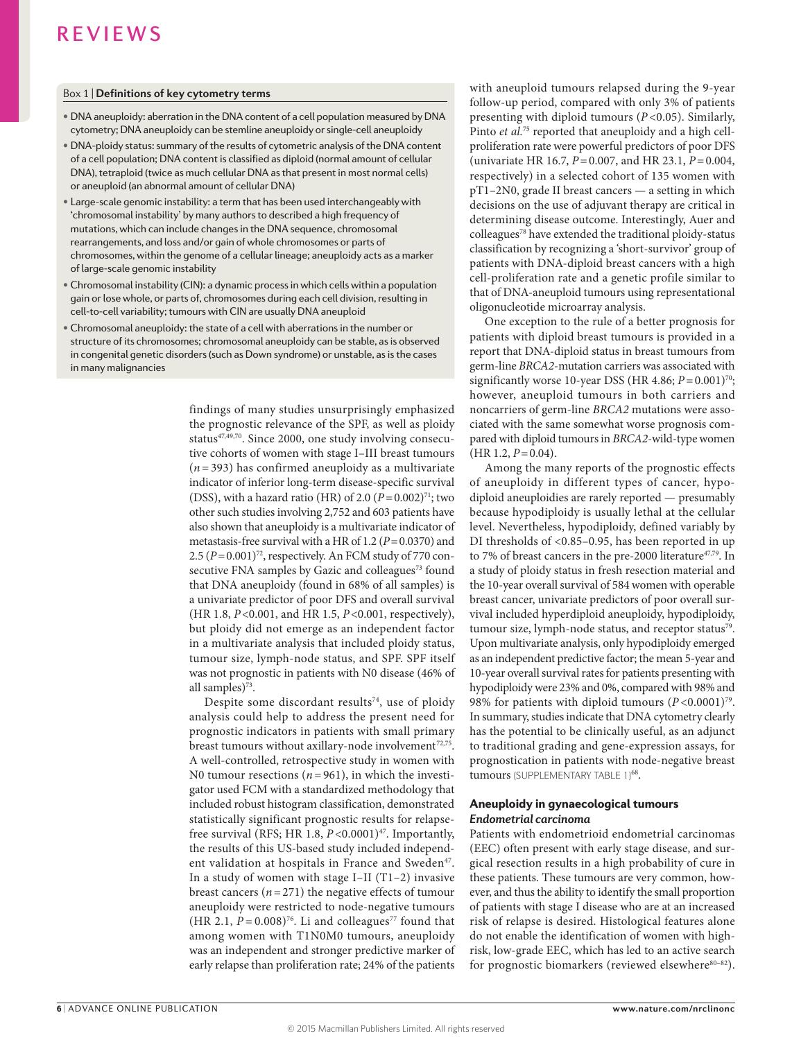#### Box 1 | **Definitions of key cytometry terms**

- DNA aneuploidy: aberration in the DNA content of a cell population measured by DNA cytometry; DNA aneuploidy can be stemline aneuploidy or single-cell aneuploidy
- DNA-ploidy status: summary of the results of cytometric analysis of the DNA content of a cell population; DNA content is classified as diploid (normal amount of cellular DNA), tetraploid (twice as much cellular DNA as that present in most normal cells) or aneuploid (an abnormal amount of cellular DNA)
- Large-scale genomic instability: a term that has been used interchangeably with 'chromosomal instability' by many authors to described a high frequency of mutations, which can include changes in the DNA sequence, chromosomal rearrangements, and loss and/or gain of whole chromosomes or parts of chromosomes, within the genome of a cellular lineage; aneuploidy acts as a marker of large-scale genomic instability
- Chromosomal instability (CIN): a dynamic process in which cells within a population gain or lose whole, or parts of, chromosomes during each cell division, resulting in cell-to-cell variability; tumours with CIN are usually DNA aneuploid
- Chromosomal aneuploidy: the state of a cell with aberrations in the number or structure of its chromosomes; chromosomal aneuploidy can be stable, as is observed in congenital genetic disorders (such as Down syndrome) or unstable, as is the cases in many malignancies

findings of many studies unsurprisingly emphasized the prognostic relevance of the SPF, as well as ploidy status<sup>47,49,70</sup>. Since 2000, one study involving consecutive cohorts of women with stage I–III breast tumours  $(n=393)$  has confirmed aneuploidy as a multivariate indicator of inferior long-term disease-specific survival (DSS), with a hazard ratio (HR) of 2.0  $(P=0.002)^{71}$ ; two other such studies involving 2,752 and 603 patients have also shown that aneuploidy is a multivariate indicator of metastasis-free survival with a HR of 1.2 (*P*=0.0370) and 2.5 (*P*=0.001)72 , respectively. An FCM study of 770 consecutive FNA samples by Gazic and colleagues<sup>73</sup> found that DNA aneuploidy (found in 68% of all samples) is a univariate predictor of poor DFS and overall survival (HR 1.8, *P*<0.001, and HR 1.5, *P*<0.001, respectively), but ploidy did not emerge as an independent factor in a multivariate analysis that included ploidy status, tumour size, lymph-node status, and SPF. SPF itself was not prognostic in patients with N0 disease (46% of all samples)<sup>73</sup>.

Despite some discordant results<sup>74</sup>, use of ploidy analysis could help to address the present need for prognostic indicators in patients with small primary breast tumours without axillary-node involvement<sup>72,75</sup>. A well-controlled, retrospective study in women with N0 tumour resections  $(n=961)$ , in which the investigator used FCM with a standardized methodology that included robust histogram classification, demonstrated statistically significant prognostic results for relapsefree survival (RFS; HR 1.8,  $P < 0.0001$ )<sup>47</sup>. Importantly, the results of this US-based study included independent validation at hospitals in France and Sweden<sup>47</sup>. In a study of women with stage I–II (T1–2) invasive breast cancers  $(n=271)$  the negative effects of tumour aneuploidy were restricted to node-negative tumours (HR 2.1,  $P = 0.008$ )<sup>76</sup>. Li and colleagues<sup>77</sup> found that among women with T1N0M0 tumours, aneuploidy was an independent and stronger predictive marker of early relapse than proliferation rate; 24% of the patients with aneuploid tumours relapsed during the 9-year follow-up period, compared with only 3% of patients presenting with diploid tumours (*P* <0.05). Similarly, Pinto *et al.*75 reported that aneuploidy and a high cellproliferation rate were powerful predictors of poor DFS (univariate HR 16.7, *P*=0.007, and HR 23.1, *P*=0.004, respectively) in a selected cohort of 135 women with pT1–2N0, grade II breast cancers — a setting in which decisions on the use of adjuvant therapy are critical in determining disease outcome. Interestingly, Auer and colleagues78 have extended the traditional ploidy-status classification by recognizing a 'short-survivor' group of patients with DNA-diploid breast cancers with a high cell-proliferation rate and a genetic profile similar to that of DNA-aneuploid tumours using representational oligonucleotide microarray analysis.

One exception to the rule of a better prognosis for patients with diploid breast tumours is provided in a report that DNA-diploid status in breast tumours from germ-line *BRCA2*-mutation carriers was associated with significantly worse 10-year DSS (HR 4.86;  $P = 0.001$ )<sup>70</sup>; however, aneuploid tumours in both carriers and noncarriers of germ-line *BRCA2* mutations were associated with the same somewhat worse prognosis compared with diploid tumours in *BRCA2*-wild-type women  $(HR 1.2, P=0.04).$ 

Among the many reports of the prognostic effects of aneuploidy in different types of cancer, hypodiploid aneuploidies are rarely reported — presumably because hypodiploidy is usually lethal at the cellular level. Nevertheless, hypodiploidy, defined variably by DI thresholds of <0.85–0.95, has been reported in up to 7% of breast cancers in the pre-2000 literature<sup>47,79</sup>. In a study of ploidy status in fresh resection material and the 10-year overall survival of 584 women with operable breast cancer, univariate predictors of poor overall survival included hyperdiploid aneuploidy, hypodiploidy, tumour size, lymph-node status, and receptor status<sup>79</sup>. Upon multivariate analysis, only hypodiploidy emerged as an independent predictive factor; the mean 5-year and 10-year overall survival rates for patients presenting with hypodiploidy were 23% and 0%, compared with 98% and 98% for patients with diploid tumours  $(P<0.0001)^{79}$ . In summary, studies indicate that DNA cytometry clearly has the potential to be clinically useful, as an adjunct to traditional grading and gene-expression assays, for prognostication in patients with node-negative breast tumours (SUPPLEMENTARY TABLE 1)<sup>68</sup>.

#### Aneuploidy in gynaecological tumours *Endometrial carcinoma*

Patients with endometrioid endometrial carcinomas (EEC) often present with early stage disease, and surgical resection results in a high probability of cure in these patients. These tumours are very common, however, and thus the ability to identify the small proportion of patients with stage I disease who are at an increased risk of relapse is desired. Histological features alone do not enable the identification of women with highrisk, low-grade EEC, which has led to an active search for prognostic biomarkers (reviewed elsewhere<sup>80-82</sup>).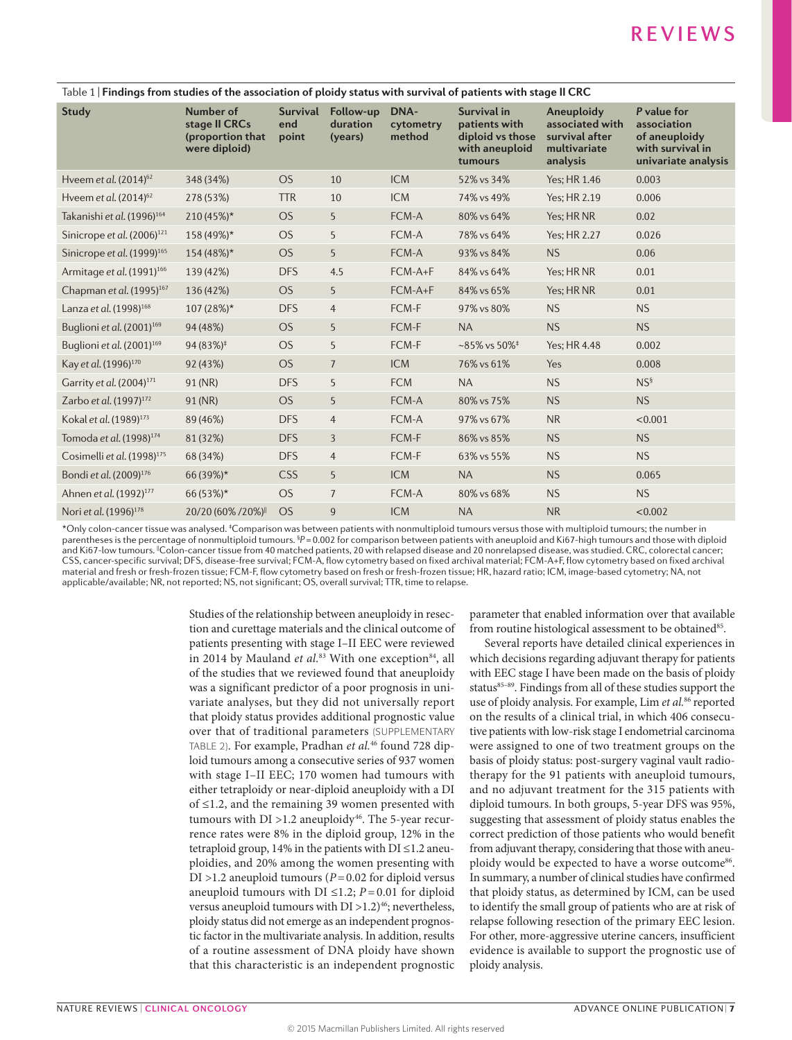| <b>Study</b>                           | Number of<br>stage II CRCs<br>(proportion that<br>were diploid) | <b>Survival</b><br>end<br>point | Follow-up<br>duration<br>(years) | DNA-<br>cytometry<br>method | Survival in<br>patients with<br>diploid vs those<br>with aneuploid<br>tumours | Aneuploidy<br>associated with<br>survival after<br>multivariate<br>analysis | P value for<br>association<br>of aneuploidy<br>with survival in<br>univariate analysis |
|----------------------------------------|-----------------------------------------------------------------|---------------------------------|----------------------------------|-----------------------------|-------------------------------------------------------------------------------|-----------------------------------------------------------------------------|----------------------------------------------------------------------------------------|
| Hveem et al. $(2014)^{62}$             | 348 (34%)                                                       | <b>OS</b>                       | 10                               | <b>ICM</b>                  | 52% vs 34%                                                                    | Yes; HR 1.46                                                                | 0.003                                                                                  |
| Hyeem et al. $(2014)^{62}$             | 278 (53%)                                                       | <b>TTR</b>                      | 10                               | <b>ICM</b>                  | 74% vs 49%                                                                    | Yes; HR 2.19                                                                | 0.006                                                                                  |
| Takanishi et al. (1996) <sup>164</sup> | 210 (45%)*                                                      | <b>OS</b>                       | 5                                | FCM-A                       | 80% vs 64%                                                                    | Yes; HR NR                                                                  | 0.02                                                                                   |
| Sinicrope et al. (2006) <sup>121</sup> | 158 (49%)*                                                      | <b>OS</b>                       | 5                                | FCM-A                       | 78% vs 64%                                                                    | Yes; HR 2.27                                                                | 0.026                                                                                  |
| Sinicrope et al. (1999) <sup>165</sup> | $154(48%)$ *                                                    | <b>OS</b>                       | 5                                | FCM-A                       | 93% vs 84%                                                                    | <b>NS</b>                                                                   | 0.06                                                                                   |
| Armitage et al. (1991) <sup>166</sup>  | 139 (42%)                                                       | <b>DFS</b>                      | 4.5                              | $FCM-A+F$                   | 84% vs 64%                                                                    | Yes; HR NR                                                                  | 0.01                                                                                   |
| Chapman et al. (1995) <sup>167</sup>   | 136 (42%)                                                       | <b>OS</b>                       | 5                                | $FCM-A+F$                   | 84% vs 65%                                                                    | Yes; HR NR                                                                  | 0.01                                                                                   |
| Lanza et al. (1998) <sup>168</sup>     | $107(28%)$ *                                                    | <b>DFS</b>                      | $\overline{4}$                   | FCM-F                       | 97% vs 80%                                                                    | <b>NS</b>                                                                   | <b>NS</b>                                                                              |
| Buglioni et al. (2001) <sup>169</sup>  | 94 (48%)                                                        | <b>OS</b>                       | 5                                | FCM-F                       | <b>NA</b>                                                                     | <b>NS</b>                                                                   | <b>NS</b>                                                                              |
| Buglioni et al. (2001) <sup>169</sup>  | $94(83\%)^{\ddagger}$                                           | <b>OS</b>                       | 5                                | FCM-F                       | $-85\%$ vs $50\%$ <sup>‡</sup>                                                | Yes; HR 4.48                                                                | 0.002                                                                                  |
| Kay et al. (1996) <sup>170</sup>       | 92 (43%)                                                        | <b>OS</b>                       | $\overline{7}$                   | <b>ICM</b>                  | 76% vs 61%                                                                    | Yes                                                                         | 0.008                                                                                  |
| Garrity et al. (2004) <sup>171</sup>   | 91 (NR)                                                         | <b>DFS</b>                      | 5                                | <b>FCM</b>                  | <b>NA</b>                                                                     | <b>NS</b>                                                                   | NS <sup>§</sup>                                                                        |
| Zarbo et al. (1997) <sup>172</sup>     | 91 (NR)                                                         | <b>OS</b>                       | 5                                | FCM-A                       | 80% vs 75%                                                                    | <b>NS</b>                                                                   | <b>NS</b>                                                                              |
| Kokal et al. (1989) <sup>173</sup>     | 89 (46%)                                                        | <b>DFS</b>                      | $\overline{4}$                   | FCM-A                       | 97% vs 67%                                                                    | <b>NR</b>                                                                   | < 0.001                                                                                |
| Tomoda et al. (1998) <sup>174</sup>    | 81 (32%)                                                        | <b>DFS</b>                      | $\overline{3}$                   | FCM-F                       | 86% vs 85%                                                                    | <b>NS</b>                                                                   | <b>NS</b>                                                                              |
| Cosimelli et al. (1998) <sup>175</sup> | 68 (34%)                                                        | <b>DFS</b>                      | $\overline{4}$                   | FCM-F                       | 63% vs 55%                                                                    | <b>NS</b>                                                                   | <b>NS</b>                                                                              |
| Bondi et al. (2009) <sup>176</sup>     | $66(39%)$ *                                                     | <b>CSS</b>                      | 5                                | <b>ICM</b>                  | <b>NA</b>                                                                     | <b>NS</b>                                                                   | 0.065                                                                                  |
| Ahnen et al. (1992) <sup>177</sup>     | 66 (53%)*                                                       | <b>OS</b>                       | $\overline{7}$                   | FCM-A                       | 80% vs 68%                                                                    | <b>NS</b>                                                                   | NS                                                                                     |
| Nori et al. (1996) <sup>178</sup>      | 20/20 (60%/20%)                                                 | <b>OS</b>                       | $\overline{9}$                   | <b>ICM</b>                  | <b>NA</b>                                                                     | <b>NR</b>                                                                   | < 0.002                                                                                |
|                                        |                                                                 |                                 |                                  |                             |                                                                               |                                                                             |                                                                                        |

Table 1 | **Findings from studies of the association of ploidy status with survival of patients with stage II CRC**

\*Only colon-cancer tissue was analysed. ‡ Comparison was between patients with nonmultiploid tumours versus those with multiploid tumours; the number in parentheses is the percentage of nonmultiploid tumours. <sup>§p</sup>= 0.002 for comparison between patients with aneuploid and Ki67-high tumours and those with diploid and Ki67-low tumours. ||Colon-cancer tissue from 40 matched patients, 20 with relapsed disease and 20 nonrelapsed disease, was studied. CRC, colorectal cancer; CSS, cancer-specific survival; DFS, disease-free survival; FCM-A, flow cytometry based on fixed archival material; FCM-A+F, flow cytometry based on fixed archival material and fresh or fresh-frozen tissue; FCM-F, flow cytometry based on fresh or fresh-frozen tissue; HR, hazard ratio; ICM, image-based cytometry; NA, not applicable/available; NR, not reported; NS, not significant; OS, overall survival; TTR, time to relapse.

> Studies of the relationship between aneuploidy in resection and curettage materials and the clinical outcome of patients presenting with stage I–II EEC were reviewed in 2014 by Mauland *et al.*<sup>83</sup> With one exception<sup>84</sup>, all of the studies that we reviewed found that aneuploidy was a significant predictor of a poor prognosis in univariate analyses, but they did not universally report that ploidy status provides additional prognostic value over that of traditional parameters (SUPPLEMENTARY TABLE 2). For example, Pradhan *et al.*46 found 728 diploid tumours among a consecutive series of 937 women with stage I–II EEC; 170 women had tumours with either tetraploidy or near-diploid aneuploidy with a DI of ≤1.2, and the remaining 39 women presented with tumours with DI >1.2 aneuploidy<sup>46</sup>. The 5-year recurrence rates were 8% in the diploid group, 12% in the tetraploid group, 14% in the patients with DI ≤1.2 aneuploidies, and 20% among the women presenting with DI >1.2 aneuploid tumours (*P*=0.02 for diploid versus aneuploid tumours with  $DI \leq 1.2$ ;  $P = 0.01$  for diploid versus aneuploid tumours with  $DI > 1.2)^{46}$ ; nevertheless, ploidy status did not emerge as an independent prognostic factor in the multivariate analysis. In addition, results of a routine assessment of DNA ploidy have shown that this characteristic is an independent prognostic

parameter that enabled information over that available from routine histological assessment to be obtained<sup>85</sup>.

Several reports have detailed clinical experiences in which decisions regarding adjuvant therapy for patients with EEC stage I have been made on the basis of ploidy status<sup>85-89</sup>. Findings from all of these studies support the use of ploidy analysis. For example, Lim *et al.*86 reported on the results of a clinical trial, in which 406 consecutive patients with low-risk stage I endometrial carcinoma were assigned to one of two treatment groups on the basis of ploidy status: post-surgery vaginal vault radiotherapy for the 91 patients with aneuploid tumours, and no adjuvant treatment for the 315 patients with diploid tumours. In both groups, 5-year DFS was 95%, suggesting that assessment of ploidy status enables the correct prediction of those patients who would benefit from adjuvant therapy, considering that those with aneuploidy would be expected to have a worse outcome<sup>86</sup>. In summary, a number of clinical studies have confirmed that ploidy status, as determined by ICM, can be used to identify the small group of patients who are at risk of relapse following resection of the primary EEC lesion. For other, more-aggressive uterine cancers, insufficient evidence is available to support the prognostic use of ploidy analysis.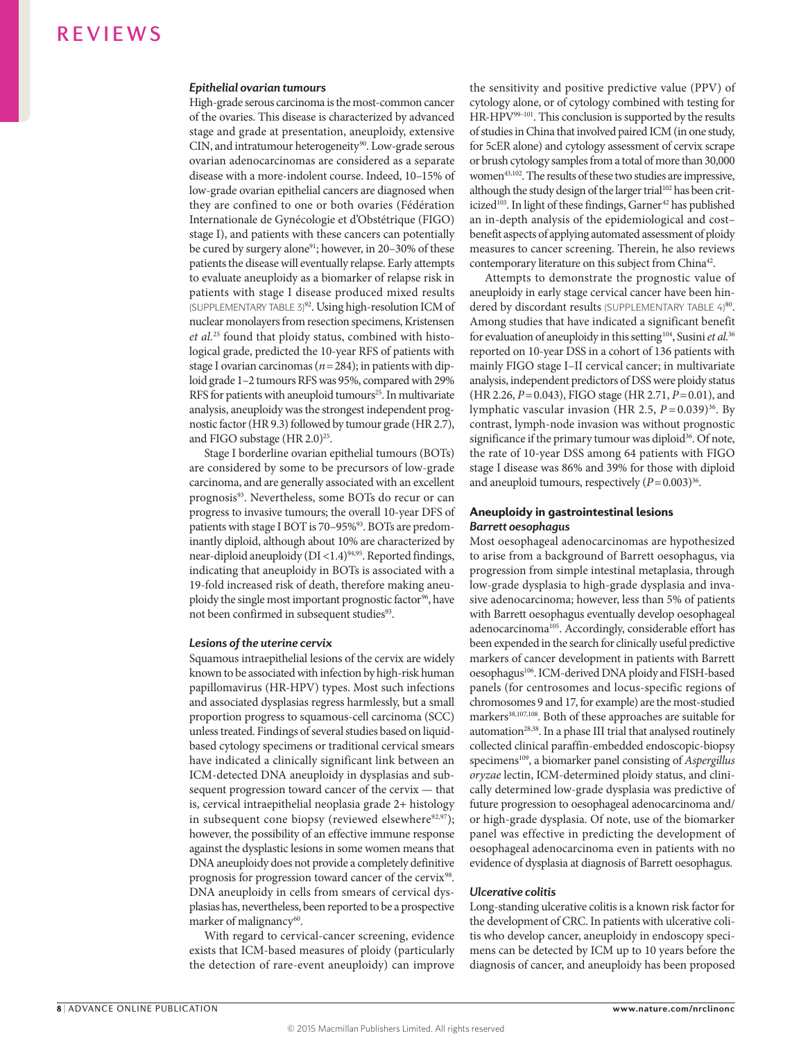#### *Epithelial ovarian tumours*

High-grade serous carcinoma is the most-common cancer of the ovaries. This disease is characterized by advanced stage and grade at presentation, aneuploidy, extensive CIN, and intratumour heterogeneity<sup>90</sup>. Low-grade serous ovarian adenocarcinomas are considered as a separate disease with a more-indolent course. Indeed, 10–15% of low-grade ovarian epithelial cancers are diagnosed when they are confined to one or both ovaries (Fédération Internationale de Gynécologie et d'Obstétrique (FIGO) stage I), and patients with these cancers can potentially be cured by surgery alone<sup>91</sup>; however, in 20–30% of these patients the disease will eventually relapse. Early attempts to evaluate aneuploidy as a biomarker of relapse risk in patients with stage I disease produced mixed results (SUPPLEMENTARY TABLE 3) $92$ . Using high-resolution ICM of nuclear monolayers from resection specimens, Kristensen *et al.*25 found that ploidy status, combined with histological grade, predicted the 10-year RFS of patients with stage I ovarian carcinomas (*n*=284); in patients with diploid grade 1–2 tumours RFS was 95%, compared with 29% RFS for patients with aneuploid tumours<sup>25</sup>. In multivariate analysis, aneuploidy was the strongest independent prognostic factor (HR 9.3) followed by tumour grade (HR 2.7), and FIGO substage  $(HR 2.0)^{25}$ .

Stage I borderline ovarian epithelial tumours (BOTs) are considered by some to be precursors of low-grade carcinoma, and are generally associated with an excellent prognosis<sup>93</sup>. Nevertheless, some BOTs do recur or can progress to invasive tumours; the overall 10-year DFS of patients with stage I BOT is 70–95%<sup>93</sup>. BOTs are predominantly diploid, although about 10% are characterized by near-diploid aneuploidy (DI <1.4)<sup>94,95</sup>. Reported findings, indicating that aneuploidy in BOTs is associated with a 19-fold increased risk of death, therefore making aneuploidy the single most important prognostic factor<sup>96</sup>, have not been confirmed in subsequent studies<sup>93</sup>.

#### *Lesions of the uterine cervix*

Squamous intraepithelial lesions of the cervix are widely known to be associated with infection by high-risk human papillomavirus (HR-HPV) types. Most such infections and associated dysplasias regress harmlessly, but a small proportion progress to squamous-cell carcinoma (SCC) unless treated. Findings of several studies based on liquidbased cytology specimens or traditional cervical smears have indicated a clinically significant link between an ICM-detected DNA aneuploidy in dysplasias and subsequent progression toward cancer of the cervix — that is, cervical intraepithelial neoplasia grade 2+ histology in subsequent cone biopsy (reviewed elsewhere<sup>92,97</sup>); however, the possibility of an effective immune response against the dysplastic lesions in some women means that DNA aneuploidy does not provide a completely definitive prognosis for progression toward cancer of the cervix<sup>98</sup>. DNA aneuploidy in cells from smears of cervical dysplasias has, nevertheless, been reported to be a prospective marker of malignancy<sup>60</sup>.

With regard to cervical-cancer screening, evidence exists that ICM-based measures of ploidy (particularly the detection of rare-event aneuploidy) can improve the sensitivity and positive predictive value (PPV) of cytology alone, or of cytology combined with testing for HR-HPV<sup>99–101</sup>. This conclusion is supported by the results of studies in China that involved paired ICM (in one study, for 5cER alone) and cytology assessment of cervix scrape or brush cytology samples from a total of more than 30,000 women<sup>43,102</sup>. The results of these two studies are impressive, although the study design of the larger trial<sup>102</sup> has been criticized<sup>103</sup>. In light of these findings, Garner<sup>42</sup> has published an in-depth analysis of the epidemiological and cost– benefit aspects of applying automated assessment of ploidy measures to cancer screening. Therein, he also reviews contemporary literature on this subject from China<sup>42</sup>.

Attempts to demonstrate the prognostic value of aneuploidy in early stage cervical cancer have been hindered by discordant results (SUPPLEMENTARY TABLE 4)<sup>80</sup>. Among studies that have indicated a significant benefit for evaluation of aneuploidy in this setting104, Susini *et al.*<sup>36</sup> reported on 10-year DSS in a cohort of 136 patients with mainly FIGO stage I–II cervical cancer; in multivariate analysis, independent predictors of DSS were ploidy status (HR 2.26, *P*=0.043), FIGO stage (HR 2.71, *P*=0.01), and lymphatic vascular invasion (HR 2.5, *P* = 0.039)<sup>36</sup>. By contrast, lymph-node invasion was without prognostic significance if the primary tumour was diploid<sup>36</sup>. Of note, the rate of 10-year DSS among 64 patients with FIGO stage I disease was 86% and 39% for those with diploid and aneuploid tumours, respectively  $(P=0.003)^{36}$ .

#### Aneuploidy in gastrointestinal lesions *Barrett oesophagus*

Most oesophageal adenocarcinomas are hypothesized to arise from a background of Barrett oesophagus, via progression from simple intestinal metaplasia, through low-grade dysplasia to high-grade dysplasia and invasive adenocarcinoma; however, less than 5% of patients with Barrett oesophagus eventually develop oesophageal adenocarcinoma105. Accordingly, considerable effort has been expended in the search for clinically useful predictive markers of cancer development in patients with Barrett oesophagus106. ICM-derived DNA ploidy and FISH-based panels (for centrosomes and locus-specific regions of chromosomes 9 and 17, for example) are the most-studied markers38,107,108. Both of these approaches are suitable for automation<sup>28,38</sup>. In a phase III trial that analysed routinely collected clinical paraffin-embedded endoscopic-biopsy specimens<sup>109</sup>, a biomarker panel consisting of *Aspergillus oryzae* lectin, ICM-determined ploidy status, and clinically determined low-grade dysplasia was predictive of future progression to oesophageal adenocarcinoma and/ or high-grade dysplasia. Of note, use of the biomarker panel was effective in predicting the development of oesophageal adenocarcinoma even in patients with no evidence of dysplasia at diagnosis of Barrett oesophagus.

#### *Ulcerative colitis*

Long-standing ulcerative colitis is a known risk factor for the development of CRC. In patients with ulcerative colitis who develop cancer, aneuploidy in endoscopy specimens can be detected by ICM up to 10 years before the diagnosis of cancer, and aneuploidy has been proposed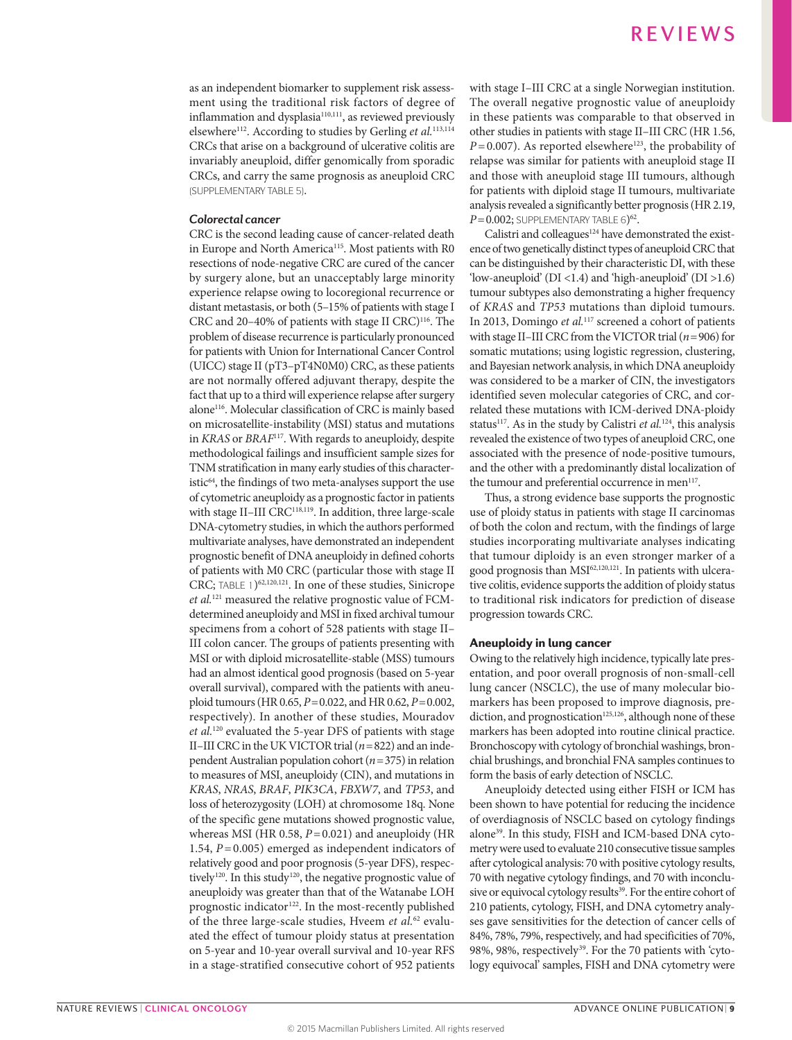as an independent biomarker to supplement risk assessment using the traditional risk factors of degree of inflammation and dysplasia<sup>110,111</sup>, as reviewed previously elsewhere<sup>112</sup>. According to studies by Gerling *et al.*<sup>113,114</sup> CRCs that arise on a background of ulcerative colitis are invariably aneuploid, differ genomically from sporadic CRCs, and carry the same prognosis as aneuploid CRC (SUPPLEMENTARY TABLE 5).

#### *Colorectal cancer*

CRC is the second leading cause of cancer-related death in Europe and North America<sup>115</sup>. Most patients with R0 resections of node-negative CRC are cured of the cancer by surgery alone, but an unacceptably large minority experience relapse owing to locoregional recurrence or distant metastasis, or both (5–15% of patients with stage I CRC and 20–40% of patients with stage II CRC)<sup>116</sup>. The problem of disease recurrence is particularly pronounced for patients with Union for International Cancer Control (UICC) stage II (pT3–pT4N0M0) CRC, as these patients are not normally offered adjuvant therapy, despite the fact that up to a third will experience relapse after surgery alone116. Molecular classification of CRC is mainly based on microsatellite-instability (MSI) status and mutations in *KRAS* or *BRAF*117. With regards to aneuploidy, despite methodological failings and insufficient sample sizes for TNM stratification in many early studies of this characteristic<sup>64</sup>, the findings of two meta-analyses support the use of cytometric aneuploidy as a prognostic factor in patients with stage II-III CRC<sup>118,119</sup>. In addition, three large-scale DNA-cytometry studies, in which the authors performed multivariate analyses, have demonstrated an independent prognostic benefit of DNA aneuploidy in defined cohorts of patients with M0 CRC (particular those with stage II CRC; TABLE 1) $62,120,121$ . In one of these studies, Sinicrope *et al.*121 measured the relative prognostic value of FCMdetermined aneuploidy and MSI in fixed archival tumour specimens from a cohort of 528 patients with stage II– III colon cancer. The groups of patients presenting with MSI or with diploid microsatellite-stable (MSS) tumours had an almost identical good prognosis (based on 5-year overall survival), compared with the patients with aneuploid tumours (HR 0.65, *P*=0.022, and HR 0.62, *P*=0.002, respectively). In another of these studies, Mouradov *et al.*120 evaluated the 5-year DFS of patients with stage II–III CRC in the UK VICTOR trial (*n*=822) and an independent Australian population cohort (*n*=375) in relation to measures of MSI, aneuploidy (CIN), and mutations in *KRAS*, *NRAS*, *BRAF*, *PIK3CA*, *FBXW7*, and *TP53*, and loss of heterozygosity (LOH) at chromosome 18q. None of the specific gene mutations showed prognostic value, whereas MSI (HR 0.58,  $P=0.021$ ) and aneuploidy (HR 1.54, *P*=0.005) emerged as independent indicators of relatively good and poor prognosis (5-year DFS), respectively<sup>120</sup>. In this study<sup>120</sup>, the negative prognostic value of aneuploidy was greater than that of the Watanabe LOH prognostic indicator<sup>122</sup>. In the most-recently published of the three large-scale studies, Hveem *et al.*62 evaluated the effect of tumour ploidy status at presentation on 5-year and 10-year overall survival and 10-year RFS in a stage-stratified consecutive cohort of 952 patients

with stage I–III CRC at a single Norwegian institution. The overall negative prognostic value of aneuploidy in these patients was comparable to that observed in other studies in patients with stage II–III CRC (HR 1.56,  $P=0.007$ ). As reported elsewhere<sup>123</sup>, the probability of relapse was similar for patients with aneuploid stage II and those with aneuploid stage III tumours, although for patients with diploid stage II tumours, multivariate analysis revealed a significantly better prognosis (HR 2.19,  $P = 0.002$ ; SUPPLEMENTARY TABLE 6)<sup>62</sup>.

Calistri and colleagues<sup>124</sup> have demonstrated the existence of two genetically distinct types of aneuploid CRC that can be distinguished by their characteristic DI, with these 'low-aneuploid' (DI <1.4) and 'high-aneuploid' (DI >1.6) tumour subtypes also demonstrating a higher frequency of *KRAS* and *TP53* mutations than diploid tumours. In 2013, Domingo *et al.*117 screened a cohort of patients with stage II–III CRC from the VICTOR trial (*n*=906) for somatic mutations; using logistic regression, clustering, and Bayesian network analysis, in which DNA aneuploidy was considered to be a marker of CIN, the investigators identified seven molecular categories of CRC, and correlated these mutations with ICM-derived DNA-ploidy status<sup>117</sup>. As in the study by Calistri et al.<sup>124</sup>, this analysis revealed the existence of two types of aneuploid CRC, one associated with the presence of node-positive tumours, and the other with a predominantly distal localization of the tumour and preferential occurrence in men<sup>117</sup>.

Thus, a strong evidence base supports the prognostic use of ploidy status in patients with stage II carcinomas of both the colon and rectum, with the findings of large studies incorporating multivariate analyses indicating that tumour diploidy is an even stronger marker of a good prognosis than MSI<sup>62,120,121</sup>. In patients with ulcerative colitis, evidence supports the addition of ploidy status to traditional risk indicators for prediction of disease progression towards CRC.

#### Aneuploidy in lung cancer

Owing to the relatively high incidence, typically late presentation, and poor overall prognosis of non-small-cell lung cancer (NSCLC), the use of many molecular biomarkers has been proposed to improve diagnosis, prediction, and prognostication<sup>125,126</sup>, although none of these markers has been adopted into routine clinical practice. Bronchoscopy with cytology of bronchial washings, bronchial brushings, and bronchial FNA samples continues to form the basis of early detection of NSCLC.

Aneuploidy detected using either FISH or ICM has been shown to have potential for reducing the incidence of overdiagnosis of NSCLC based on cytology findings alone39 . In this study, FISH and ICM-based DNA cytometry were used to evaluate 210 consecutive tissue samples after cytological analysis: 70 with positive cytology results, 70 with negative cytology findings, and 70 with inconclusive or equivocal cytology results<sup>39</sup>. For the entire cohort of 210 patients, cytology, FISH, and DNA cytometry analyses gave sensitivities for the detection of cancer cells of 84%, 78%, 79%, respectively, and had specificities of 70%, 98%, 98%, respectively<sup>39</sup>. For the 70 patients with 'cytology equivocal' samples, FISH and DNA cytometry were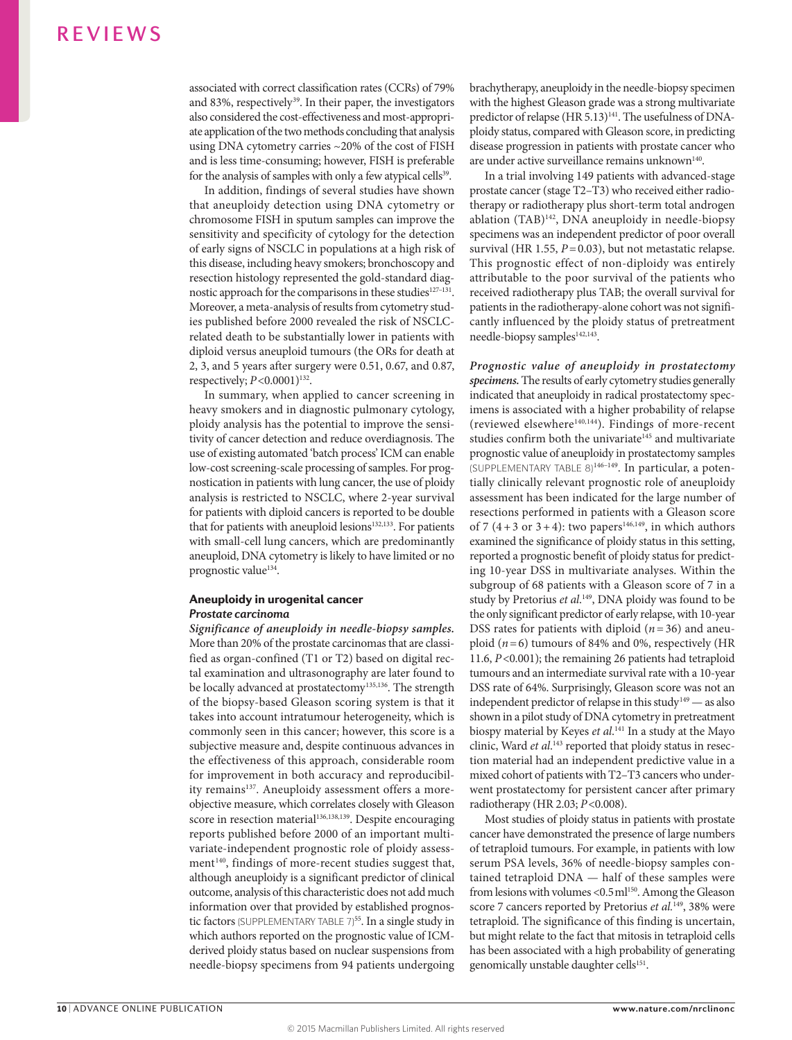associated with correct classification rates (CCRs) of 79% and 83%, respectively<sup>39</sup>. In their paper, the investigators also considered the cost-effectiveness and most-appropriate application of the two methods concluding that analysis using DNA cytometry carries ~20% of the cost of FISH and is less time-consuming; however, FISH is preferable for the analysis of samples with only a few atypical cells<sup>39</sup>.

In addition, findings of several studies have shown that aneuploidy detection using DNA cytometry or chromosome FISH in sputum samples can improve the sensitivity and specificity of cytology for the detection of early signs of NSCLC in populations at a high risk of this disease, including heavy smokers; bronchoscopy and resection histology represented the gold-standard diagnostic approach for the comparisons in these studies<sup>127-131</sup>. Moreover, a meta-analysis of results from cytometry studies published before 2000 revealed the risk of NSCLCrelated death to be substantially lower in patients with diploid versus aneuploid tumours (the ORs for death at 2, 3, and 5 years after surgery were 0.51, 0.67, and 0.87, respectively;  $P < 0.0001$ )<sup>132</sup>.

In summary, when applied to cancer screening in heavy smokers and in diagnostic pulmonary cytology, ploidy analysis has the potential to improve the sensitivity of cancer detection and reduce overdiagnosis. The use of existing automated 'batch process' ICM can enable low-cost screening-scale processing of samples. For prognostication in patients with lung cancer, the use of ploidy analysis is restricted to NSCLC, where 2-year survival for patients with diploid cancers is reported to be double that for patients with aneuploid lesions<sup>132,133</sup>. For patients with small-cell lung cancers, which are predominantly aneuploid, DNA cytometry is likely to have limited or no prognostic value<sup>134</sup>.

#### Aneuploidy in urogenital cancer *Prostate carcinoma*

*Significance of aneuploidy in needle-biopsy samples.* More than 20% of the prostate carcinomas that are classified as organ-confined (T1 or T2) based on digital rectal examination and ultrasonography are later found to be locally advanced at prostatectomy<sup>135,136</sup>. The strength of the biopsy-based Gleason scoring system is that it takes into account intratumour heterogeneity, which is commonly seen in this cancer; however, this score is a subjective measure and, despite continuous advances in the effectiveness of this approach, considerable room for improvement in both accuracy and reproducibility remains<sup>137</sup>. Aneuploidy assessment offers a moreobjective measure, which correlates closely with Gleason score in resection material<sup>136,138,139</sup>. Despite encouraging reports published before 2000 of an important multivariate-independent prognostic role of ploidy assessment<sup>140</sup>, findings of more-recent studies suggest that, although aneuploidy is a significant predictor of clinical outcome, analysis of this characteristic does not add much information over that provided by established prognostic factors (SUPPLEMENTARY TABLE 7) 55. In a single study in which authors reported on the prognostic value of ICMderived ploidy status based on nuclear suspensions from needle-biopsy specimens from 94 patients undergoing brachytherapy, aneuploidy in the needle-biopsy specimen with the highest Gleason grade was a strong multivariate predictor of relapse (HR 5.13)<sup>141</sup>. The usefulness of DNAploidy status, compared with Gleason score, in predicting disease progression in patients with prostate cancer who are under active surveillance remains unknown<sup>140</sup>.

In a trial involving 149 patients with advanced-stage prostate cancer (stage T2–T3) who received either radiotherapy or radiotherapy plus short-term total androgen ablation (TAB)<sup>142</sup>, DNA aneuploidy in needle-biopsy specimens was an independent predictor of poor overall survival (HR 1.55,  $P=0.03$ ), but not metastatic relapse. This prognostic effect of non-diploidy was entirely attributable to the poor survival of the patients who received radiotherapy plus TAB; the overall survival for patients in the radiotherapy-alone cohort was not significantly influenced by the ploidy status of pretreatment needle-biopsy samples<sup>142,143</sup>.

*Prognostic value of aneuploidy in prostatectomy specimens.* The results of early cytometry studies generally indicated that aneuploidy in radical prostatectomy specimens is associated with a higher probability of relapse (reviewed elsewhere<sup>140,144</sup>). Findings of more-recent studies confirm both the univariate<sup>145</sup> and multivariate prognostic value of aneuploidy in prostatectomy samples (SUPPLEMENTARY TABLE 8)<sup>146-149</sup>. In particular, a potentially clinically relevant prognostic role of aneuploidy assessment has been indicated for the large number of resections performed in patients with a Gleason score of 7 (4+3 or 3+4): two papers<sup>146,149</sup>, in which authors examined the significance of ploidy status in this setting, reported a prognostic benefit of ploidy status for predicting 10-year DSS in multivariate analyses. Within the subgroup of 68 patients with a Gleason score of 7 in a study by Pretorius *et al*. 149, DNA ploidy was found to be the only significant predictor of early relapse, with 10-year DSS rates for patients with diploid (*n*=36) and aneuploid (*n*=6) tumours of 84% and 0%, respectively (HR 11.6, *P*<0.001); the remaining 26 patients had tetraploid tumours and an intermediate survival rate with a 10-year DSS rate of 64%. Surprisingly, Gleason score was not an independent predictor of relapse in this study<sup>149</sup> — as also shown in a pilot study of DNA cytometry in pretreatment biospy material by Keyes *et al*. 141 In a study at the Mayo clinic, Ward *et al*. 143 reported that ploidy status in resection material had an independent predictive value in a mixed cohort of patients with T2–T3 cancers who underwent prostatectomy for persistent cancer after primary radiotherapy (HR 2.03; *P*<0.008).

Most studies of ploidy status in patients with prostate cancer have demonstrated the presence of large numbers of tetraploid tumours. For example, in patients with low serum PSA levels, 36% of needle-biopsy samples contained tetraploid DNA — half of these samples were from lesions with volumes < $0.5$  ml<sup>150</sup>. Among the Gleason score 7 cancers reported by Pretorius et al.<sup>149</sup>, 38% were tetraploid. The significance of this finding is uncertain, but might relate to the fact that mitosis in tetraploid cells has been associated with a high probability of generating genomically unstable daughter cells<sup>151</sup>.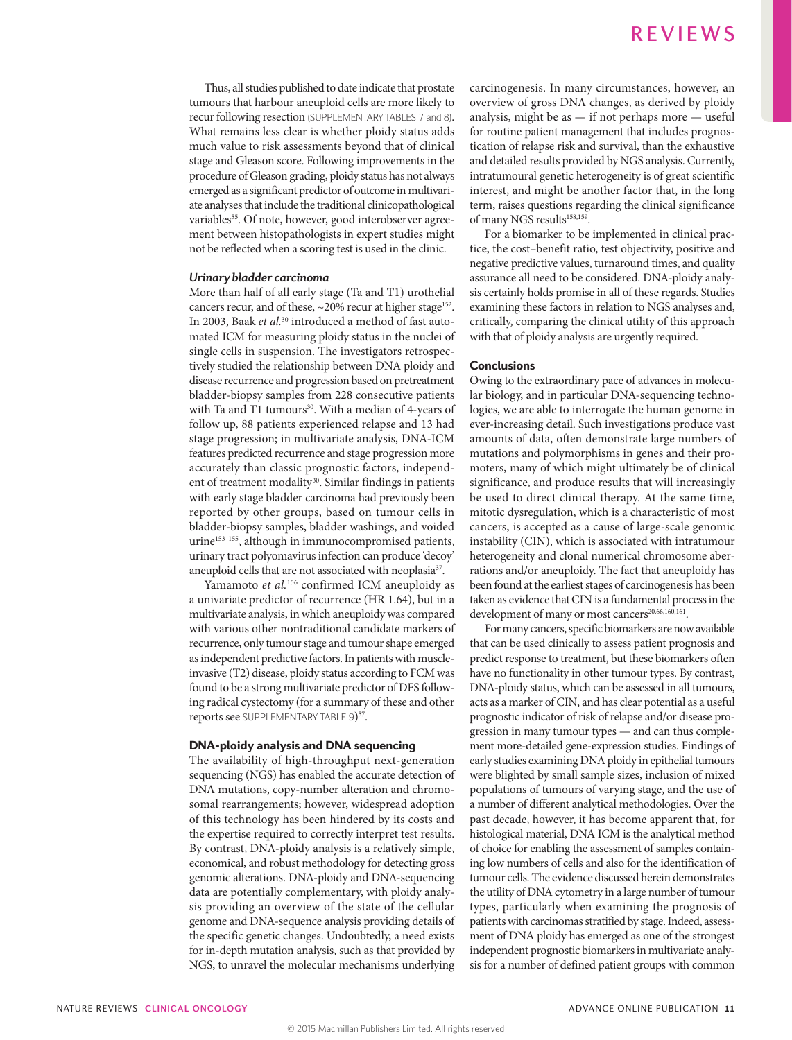Thus, all studies published to date indicate that prostate tumours that harbour aneuploid cells are more likely to recur following resection (SUPPLEMENTARY TABLES 7 and 8). What remains less clear is whether ploidy status adds much value to risk assessments beyond that of clinical stage and Gleason score. Following improvements in the procedure of Gleason grading, ploidy status has not always emerged as a significant predictor of outcome in multivariate analyses that include the traditional clinicopathological variables<sup>55</sup>. Of note, however, good interobserver agreement between histopathologists in expert studies might not be reflected when a scoring test is used in the clinic.

#### *Urinary bladder carcinoma*

More than half of all early stage (Ta and T1) urothelial cancers recur, and of these,  $\sim$ 20% recur at higher stage<sup>152</sup>. In 2003, Baak *et al.*30 introduced a method of fast automated ICM for measuring ploidy status in the nuclei of single cells in suspension. The investigators retrospectively studied the relationship between DNA ploidy and disease recurrence and progression based on pretreatment bladder-biopsy samples from 228 consecutive patients with Ta and T1 tumours<sup>30</sup>. With a median of 4-years of follow up, 88 patients experienced relapse and 13 had stage progression; in multivariate analysis, DNA-ICM features predicted recurrence and stage progression more accurately than classic prognostic factors, independent of treatment modality<sup>30</sup>. Similar findings in patients with early stage bladder carcinoma had previously been reported by other groups, based on tumour cells in bladder-biopsy samples, bladder washings, and voided urine<sup>153-155</sup>, although in immunocompromised patients, urinary tract polyomavirus infection can produce 'decoy' aneuploid cells that are not associated with neoplasia<sup>37</sup>.

Yamamoto *et al.*<sup>156</sup> confirmed ICM aneuploidy as a univariate predictor of recurrence (HR 1.64), but in a multivariate analysis, in which aneuploidy was compared with various other nontraditional candidate markers of recurrence, only tumour stage and tumour shape emerged as independent predictive factors. In patients with muscleinvasive (T2) disease, ploidy status according to FCM was found to be a strong multivariate predictor of DFS following radical cystectomy (for a summary of these and other reports see SUPPLEMENTARY TABLE 9) 57.

#### DNA-ploidy analysis and DNA sequencing

The availability of high-throughput next-generation sequencing (NGS) has enabled the accurate detection of DNA mutations, copy-number alteration and chromosomal rearrangements; however, widespread adoption of this technology has been hindered by its costs and the expertise required to correctly interpret test results. By contrast, DNA-ploidy analysis is a relatively simple, economical, and robust methodology for detecting gross genomic alterations. DNA-ploidy and DNA-sequencing data are potentially complementary, with ploidy analysis providing an overview of the state of the cellular genome and DNA-sequence analysis providing details of the specific genetic changes. Undoubtedly, a need exists for in-depth mutation analysis, such as that provided by NGS, to unravel the molecular mechanisms underlying carcinogenesis. In many circumstances, however, an overview of gross DNA changes, as derived by ploidy analysis, might be as  $-$  if not perhaps more  $-$  useful for routine patient management that includes prognostication of relapse risk and survival, than the exhaustive and detailed results provided by NGS analysis. Currently, intratumoural genetic heterogeneity is of great scientific interest, and might be another factor that, in the long term, raises questions regarding the clinical significance of many NGS results<sup>158,159</sup>.

For a biomarker to be implemented in clinical practice, the cost–benefit ratio, test objectivity, positive and negative predictive values, turnaround times, and quality assurance all need to be considered. DNA-ploidy analysis certainly holds promise in all of these regards. Studies examining these factors in relation to NGS analyses and, critically, comparing the clinical utility of this approach with that of ploidy analysis are urgently required.

#### **Conclusions**

Owing to the extraordinary pace of advances in molecular biology, and in particular DNA-sequencing technologies, we are able to interrogate the human genome in ever-increasing detail. Such investigations produce vast amounts of data, often demonstrate large numbers of mutations and polymorphisms in genes and their promoters, many of which might ultimately be of clinical significance, and produce results that will increasingly be used to direct clinical therapy. At the same time, mitotic dysregulation, which is a characteristic of most cancers, is accepted as a cause of large-scale genomic instability (CIN), which is associated with intratumour heterogeneity and clonal numerical chromosome aberrations and/or aneuploidy. The fact that aneuploidy has been found at the earliest stages of carcinogenesis has been taken as evidence that CIN is a fundamental process in the development of many or most cancers<sup>20,66,160,161</sup>.

For many cancers, specific biomarkers are now available that can be used clinically to assess patient prognosis and predict response to treatment, but these biomarkers often have no functionality in other tumour types. By contrast, DNA-ploidy status, which can be assessed in all tumours, acts as a marker of CIN, and has clear potential as a useful prognostic indicator of risk of relapse and/or disease progression in many tumour types — and can thus complement more-detailed gene-expression studies. Findings of early studies examining DNA ploidy in epithelial tumours were blighted by small sample sizes, inclusion of mixed populations of tumours of varying stage, and the use of a number of different analytical methodologies. Over the past decade, however, it has become apparent that, for histological material, DNA ICM is the analytical method of choice for enabling the assessment of samples containing low numbers of cells and also for the identification of tumour cells. The evidence discussed herein demonstrates the utility of DNA cytometry in a large number of tumour types, particularly when examining the prognosis of patients with carcinomas stratified by stage. Indeed, assessment of DNA ploidy has emerged as one of the strongest independent prognostic biomarkers in multivariate analysis for a number of defined patient groups with common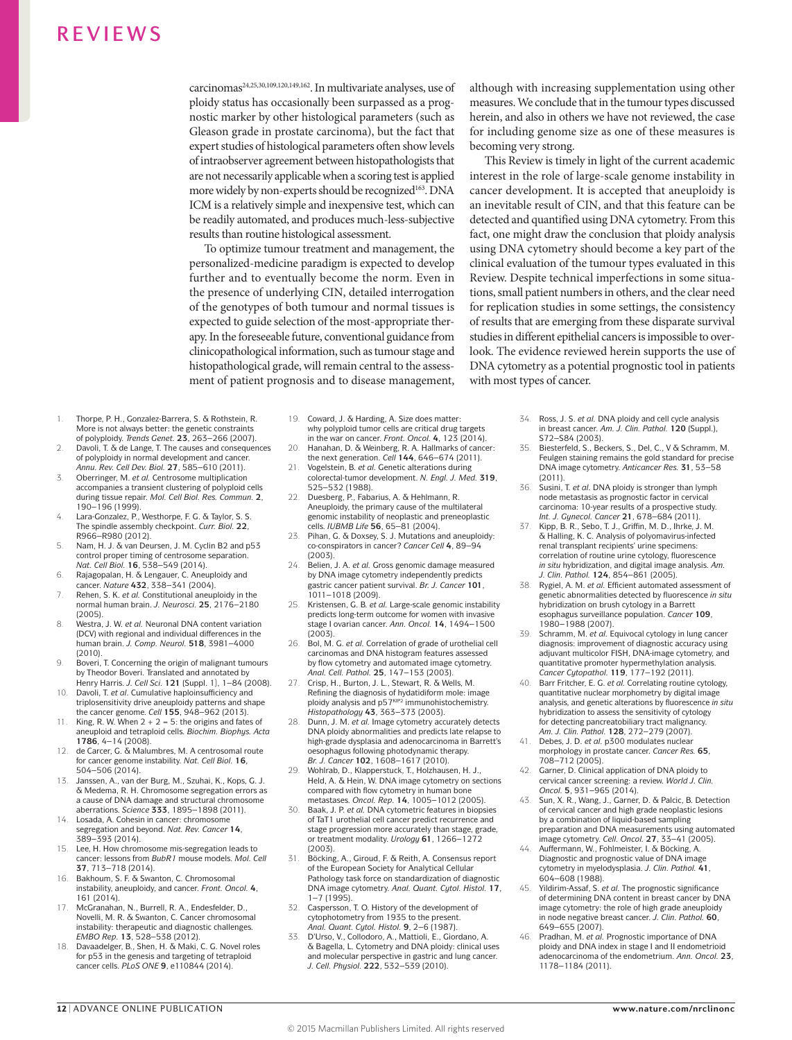carcinomas24,25,30,109,120,149,162. In multivariate analyses, use of ploidy status has occasionally been surpassed as a prognostic marker by other histological parameters (such as Gleason grade in prostate carcinoma), but the fact that expert studies of histological parameters often show levels of intraobserver agreement between histopathologists that are not necessarily applicable when a scoring test is applied more widely by non-experts should be recognized<sup>163</sup>. DNA ICM is a relatively simple and inexpensive test, which can be readily automated, and produces much-less-subjective results than routine histological assessment.

To optimize tumour treatment and management, the personalized-medicine paradigm is expected to develop further and to eventually become the norm. Even in the presence of underlying CIN, detailed interrogation of the genotypes of both tumour and normal tissues is expected to guide selection of the most-appropriate therapy. In the foreseeable future, conventional guidance from clinicopathological information, such as tumour stage and histopathological grade, will remain central to the assessment of patient prognosis and to disease management, although with increasing supplementation using other measures. We conclude that in the tumour types discussed herein, and also in others we have not reviewed, the case for including genome size as one of these measures is becoming very strong.

This Review is timely in light of the current academic interest in the role of large-scale genome instability in cancer development. It is accepted that aneuploidy is an inevitable result of CIN, and that this feature can be detected and quantified using DNA cytometry. From this fact, one might draw the conclusion that ploidy analysis using DNA cytometry should become a key part of the clinical evaluation of the tumour types evaluated in this Review. Despite technical imperfections in some situations, small patient numbers in others, and the clear need for replication studies in some settings, the consistency of results that are emerging from these disparate survival studies in different epithelial cancers is impossible to overlook. The evidence reviewed herein supports the use of DNA cytometry as a potential prognostic tool in patients with most types of cancer.

- 1. Thorpe, P. H., Gonzalez-Barrera, S. & Rothstein, R. More is not always better: the genetic constraints of polyploidy. *Trends Genet.* **23**, 263–266 (2007).
- Davoli, T. & de Lange, T. The causes and consequences of polyploidy in normal development and cancer.
- *Annu. Rev. Cell Dev. Biol.* **27**, 585–610 (2011). 3. Oberringer, M. *et al.* Centrosome multiplication accompanies a transient clustering of polyploid cells during tissue repair. *Mol. Cell Biol. Res. Commun.* **2**, 190–196 (1999).
- Lara-Gonzalez, P., Westhorpe, F. G. & Taylor, S. S. The spindle assembly checkpoint. *Curr. Biol.* **22**, R966–R980 (2012).
- 5. Nam, H. J. & van Deursen, J. M. Cyclin B2 and p53 control proper timing of centrosome separation.
- *Nat. Cell Biol.* **16**, 538–549 (2014). 6. Rajagopalan, H. & Lengauer, C. Aneuploidy and cancer. *Nature* **432**, 338–341 (2004).
- 7. Rehen, S. K. *et al.* Constitutional aneuploidy in the normal human brain. *J. Neurosci.* **25**, 2176–2180 (2005).
- 8. Westra, J. W. *et al.* Neuronal DNA content variation (DCV) with regional and individual differences in the human brain. *J. Comp. Neurol.* **518**, 3981–4000 (2010).
- 9. Boveri, T. Concerning the origin of malignant tumours by Theodor Boveri. Translated and annotated by Henry Harris. *J. Cell Sci.* **121** (Suppl. 1), 1–84 (2008).
- 10. Davoli, T. *et al.* Cumulative haploinsufficiency and triplosensitivity drive aneuploidy patterns and shape the cancer genome. *Cell* **155**, 948–962 (2013).
- 11. King, R. W. When  $2+2=5$ : the origins and fates of aneuploid and tetraploid cells. *Biochim. Biophys. Acta* **1786**, 4–14 (2008).
- 12. de Carcer, G. & Malumbres, M. A centrosomal route for cancer genome instability. *Nat. Cell Biol.* **16**, 504–506 (2014).
- 13. Janssen, A., van der Burg, M., Szuhai, K., Kops, G. J. & Medema, R. H. Chromosome segregation errors as a cause of DNA damage and structural chromosome aberrations. *Science* **333**, 1895–1898 (2011).
- 14. Losada, A. Cohesin in cancer: chromosome segregation and beyond. *Nat. Rev. Cancer* **14**, 389–393 (2014).
- 15. Lee, H. How chromosome mis-segregation leads to cancer: lessons from *BubR1* mouse models. *Mol. Cell* **37**, 713–718 (2014).
- 16. Bakhoum, S. F. & Swanton, C. Chromosomal instability, aneuploidy, and cancer. *Front. Oncol.* **4**, 161 (2014).
- 17. McGranahan, N., Burrell, R. A., Endesfelder, D., Novelli, M. R. & Swanton, C. Cancer chromosomal instability: therapeutic and diagnostic challenges.
- *EMBO Rep.* **13**, 528–538 (2012). 18. Davaadelger, B., Shen, H. & Maki, C. G. Novel roles for p53 in the genesis and targeting of tetraploid cancer cells. *PLoS ONE* **9**, e110844 (2014).
- 19. Coward, J. & Harding, A. Size does matter: why polyploid tumor cells are critical drug targets in the war on cancer. *Front. Oncol.* **4**, 123 (2014).
- 20. Hanahan, D. & Weinberg, R. A. Hallmarks of cancer: the next generation. *Cell* **144**, 646–674 (2011).
- Vogelstein, B. et al. Genetic alterations during colorectal-tumor development. *N. Engl. J. Med.* **319**, 525–532 (1988).
- 22. Duesberg, P., Fabarius, A. & Hehlmann, R. Aneuploidy, the primary cause of the multilateral genomic instability of neoplastic and preneoplastic cells. *IUBMB Life* **56**, 65–81 (2004).
- 23. Pihan, G. & Doxsey, S. J. Mutations and aneuploidy: co-conspirators in cancer? *Cancer Cell* **4**, 89–94 (2003).
- 24. Belien, J. A. *et al.* Gross genomic damage measured by DNA image cytometry independently predicts gastric cancer patient survival. *Br. J. Cancer* **101**, 1011–1018 (2009).
- 25. Kristensen, G. B. *et al.* Large-scale genomic instability predicts long-term outcome for women with invasive stage I ovarian cancer. *Ann. Oncol.* **14**, 1494–1500 (2003).
- 26. Bol, M. G. *et al.* Correlation of grade of urothelial cell carcinomas and DNA histogram features assessed by flow cytometry and automated image cytometry.
- *Anal. Cell. Pathol.* **25**, 147–153 (2003). 27. Crisp, H., Burton, J. L., Stewart, R. & Wells, M. Refining the diagnosis of hydatidiform mole: image ploidy analysis and p57KIP2 immunohistochemistry. *Histopathology* **43**, 363–373 (2003).
- 28. Dunn, J. M. *et al.* Image cytometry accurately detects DNA ploidy abnormalities and predicts late relapse to high-grade dysplasia and adenocarcinoma in Barrett's oesophagus following photodynamic therapy. *Br. J. Cancer* **102**, 1608–1617 (2010).
- 29. Wohlrab, D., Klapperstuck, T., Holzhausen, H. J., Held, A. & Hein, W. DNA image cytometry on sections compared with flow cytometry in human bone metastases. *Oncol. Rep.* **14**, 1005–1012 (2005).
- 30. Baak, J. P. *et al.* DNA cytometric features in biopsies of TaT1 urothelial cell cancer predict recurrence and stage progression more accurately than stage, grade, or treatment modality. *Urology* **61**, 1266–1272 (2003).
- 31. Böcking, A., Giroud, F. & Reith, A. Consensus report of the European Society for Analytical Cellular Pathology task force on standardization of diagnostic DNA image cytometry. *Anal. Quant. Cytol. Histol.* **17**, 1–7 (1995).
- 32. Caspersson, T. O. History of the development of cytophotometry from 1935 to the present. *Anal. Quant. Cytol. Histol.* **9**, 2–6 (1987).
- 33. D'Urso, V., Collodoro, A., Mattioli, E., Giordano, A. & Bagella, L. Cytometry and DNA ploidy: clinical uses and molecular perspective in gastric and lung cancer. *J. Cell. Physiol.* **222**, 532–539 (2010).
- 34. Ross, J. S. *et al.* DNA ploidy and cell cycle analysis in breast cancer. *Am. J. Clin. Pathol.* **120** (Suppl.), S72–S84 (2003).
- 35. Biesterfeld, S., Beckers, S., Del, C., V & Schramm, M. Feulgen staining remains the gold standard for precise DNA image cytometry. *Anticancer Res.* **31**, 53–58 (2011).
- 36. Susini, T. *et al.* DNA ploidy is stronger than lymph node metastasis as prognostic factor in cervical carcinoma: 10-year results of a prospective study. *Int. J. Gynecol. Cancer* **21**, 678–684 (2011).
- 37. Kipp, B. R., Sebo, T. J., Griffin, M. D., Ihrke, J. M. & Halling, K. C. Analysis of polyomavirus-infected renal transplant recipients' urine specimens: correlation of routine urine cytology, fluorescence *in situ* hybridization, and digital image analysis. *Am. J. Clin. Pathol.* **124**, 854–861 (2005).
- 38. Rygiel, A. M. *et al.* Efficient automated assessment of genetic abnormalities detected by fluorescence *in situ*  hybridization on brush cytology in a Barrett esophagus surveillance population. *Cancer* **109**, 1980–1988 (2007).
- 39. Schramm, M. *et al.* Equivocal cytology in lung cancer diagnosis: improvement of diagnostic accuracy using adjuvant multicolor FISH, DNA-image cytometry, and quantitative promoter hypermethylation analysis. *Cancer Cytopathol.* **119**, 177–192 (2011).
- 40. Barr Fritcher, E. G. *et al.* Correlating routine cytology, quantitative nuclear morphometry by digital image analysis, and genetic alterations by fluorescence *in situ*  hybridization to assess the sensitivity of cytology for detecting pancreatobiliary tract malignancy. *Am. J. Clin. Pathol.* **128**, 272–279 (2007).
- 41. Debes, J. D. *et al.* p300 modulates nuclear morphology in prostate cancer. *Cancer Res.* **65**, 708–712 (2005).
- 42. Garner, D. Clinical application of DNA ploidy to cervical cancer screening: a review. *World J. Clin. Oncol.* **5**, 931–965 (2014).
- 43. Sun, X. R., Wang, J., Garner, D. & Palcic, B. Detection of cervical cancer and high grade neoplastic lesions by a combination of liquid-based sampling preparation and DNA measurements using automated image cytometry. *Cell. Oncol.* **27**, 33–41 (2005).
- 44. Auffermann, W., Fohlmeister, I. & Böcking, A. Diagnostic and prognostic value of DNA image cytometry in myelodysplasia. *J. Clin. Pathol.* **41**, 604–608 (1988).
- 45. Yildirim-Assaf, S. *et al.* The prognostic significance of determining DNA content in breast cancer by DNA image cytometry: the role of high grade aneuploidy in node negative breast cancer. *J. Clin. Pathol.* **60**, 649–655 (2007).
- 46. Pradhan, M. *et al.* Prognostic importance of DNA ploidy and DNA index in stage I and II endometrioid adenocarcinoma of the endometrium. *Ann. Oncol.* **23**, 1178–1184 (2011).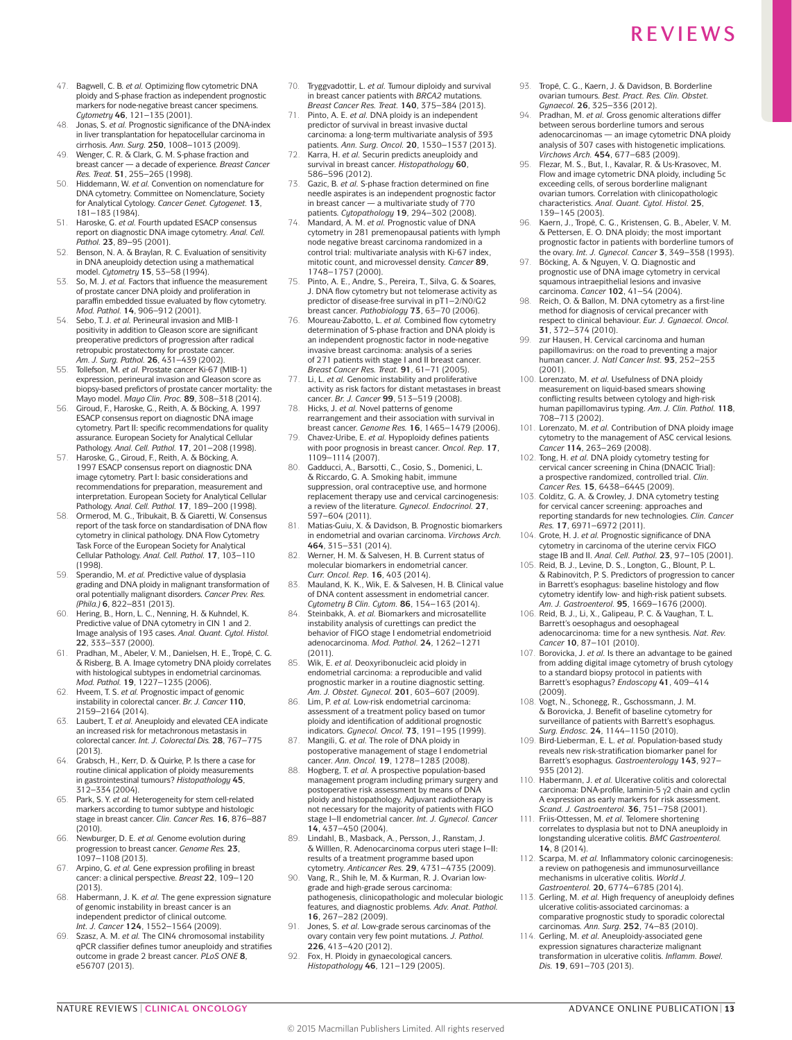- 47. Bagwell, C. B. *et al.* Optimizing flow cytometric DNA ploidy and S-phase fraction as independent prognostic markers for node-negative breast cancer specimens. *Cytometry* **46**, 121–135 (2001).
- 48. Jonas, S. *et al.* Prognostic significance of the DNA-index in liver transplantation for hepatocellular carcinoma in cirrhosis. *Ann. Surg.* **250**, 1008–1013 (2009).
- 49. Wenger, C. R. & Clark, G. M. S-phase fraction and breast cancer — a decade of experience. *Breast Cancer Res. Treat.* **51**, 255–265 (1998).
- 50. Hiddemann, W. *et al.* Convention on nomenclature for DNA cytometry. Committee on Nomenclature, Society for Analytical Cytology. *Cancer Genet. Cytogenet.* **13**, 181–183 (1984).
- 51. Haroske, G. *et al.* Fourth updated ESACP consensus report on diagnostic DNA image cytometry. *Anal. Cell. Pathol.* **23**, 89–95 (2001).
- 52. Benson, N. A. & Braylan, R. C. Evaluation of sensitivity in DNA aneuploidy detection using a mathematical model. *Cytometry* **15**, 53–58 (1994).
- 53. So, M. J. *et al.* Factors that influence the measurement of prostate cancer DNA ploidy and proliferation in paraffin embedded tissue evaluated by flow cytometry. *Mod. Pathol.* **14**, 906–912 (2001).
- 54. Sebo, T. J. *et al.* Perineural invasion and MIB-1 positivity in addition to Gleason score are significant preoperative predictors of progression after radical retropubic prostatectomy for prostate cancer. *Am. J. Surg. Pathol.* **26**, 431–439 (2002).
- 55. Tollefson, M. *et al.* Prostate cancer Ki-67 (MIB-1) expression, perineural invasion and Gleason score as biopsy-based prefictors of prostate cancer mortality: the Mayo model. *Mayo Clin. Proc.* **89**, 308–318 (2014).
- 56. Giroud, F., Haroske, G., Reith, A. & Böcking, A. 1997 ESACP consensus report on diagnostic DNA image cytometry. Part II: specific recommendations for quality assurance. European Society for Analytical Cellular Pathology. *Anal. Cell. Pathol.* **17**, 201–208 (1998).
- 57. Haroske, G., Giroud, F., Reith, A. & Böcking, A. 1997 ESACP consensus report on diagnostic DNA image cytometry. Part I: basic considerations and recommendations for preparation, measurement and interpretation. European Society for Analytical Cellular Pathology. *Anal. Cell. Pathol.* **17**, 189–200 (1998).
- 58. Ormerod, M. G., Tribukait, B. & Giaretti, W. Consensus report of the task force on standardisation of DNA flow cytometry in clinical pathology. DNA Flow Cytometry Task Force of the European Society for Analytical Cellular Pathology. *Anal. Cell. Pathol.* **17**, 103–110 (1998).
- 59. Sperandio, M. *et al.* Predictive value of dysplasia grading and DNA ploidy in malignant transformation of oral potentially malignant disorders. *Cancer Prev. Res. (Phila.)* **6**, 822–831 (2013).
- Hering, B., Horn, L. C., Nenning, H. & Kuhndel, K. Predictive value of DNA cytometry in CIN 1 and 2. Image analysis of 193 cases. *Anal. Quant. Cytol. Histol.*
- **22**, 333–337 (2000). 61. Pradhan, M., Abeler, V. M., Danielsen, H. E., Tropé, C. G. & Risberg, B. A. Image cytometry DNA ploidy correlates with histological subtypes in endometrial carcinomas. *Mod. Pathol.* **19**, 1227–1235 (2006).
- 62. Hveem, T. S. *et al.* Prognostic impact of genomic instability in colorectal cancer. *Br. J. Cancer* **110**, 2159–2164 (2014).
- 63. Laubert, T. *et al.* Aneuploidy and elevated CEA indicate an increased risk for metachronous metastasis in colorectal cancer. *Int. J. Colorectal Dis.* **28**, 767–775 (2013).
- 64. Grabsch, H., Kerr, D. & Quirke, P. Is there a case for routine clinical application of ploidy measurements in gastrointestinal tumours? *Histopathology* **45**, 312–334 (2004).
- 65. Park, S. Y. *et al.* Heterogeneity for stem cell-related markers according to tumor subtype and histologic stage in breast cancer. *Clin. Cancer Res.* **16**, 876–887 (2010).
- Newburger, D. E. et al. Genome evolution during progression to breast cancer. *Genome Res.* **23**, 1097–1108 (2013).
- 67. Arpino, G. *et al.* Gene expression profiling in breast cancer: a clinical perspective. *Breast* **22**, 109–120 (2013).
- 68. Habermann, J. K. *et al.* The gene expression signature of genomic instability in breast cancer is an independent predictor of clinical outcome. *Int. J. Cancer* **124**, 1552–1564 (2009).
- 69. Szasz, A. M. *et al.* The CIN4 chromosomal instability qPCR classifier defines tumor aneuploidy and stratifies outcome in grade 2 breast cancer. *PLoS ONE* **8**, e56707 (2013).
- 70. Tryggvadottir, L. *et al.* Tumour diploidy and survival in breast cancer patients with *BRCA2* mutations. *Breast Cancer Res. Treat.* **140**, 375–384 (2013).
- 71. Pinto, A. E. *et al.* DNA ploidy is an independent predictor of survival in breast invasive ductal carcinoma: a long-term multivariate analysis of 393 patients. *Ann. Surg. Oncol.* **20**, 1530–1537 (2013).
- 72. Karra, H. *et al.* Securin predicts aneuploidy and survival in breast cancer. *Histopathology* **60**, 586–596 (2012).
- 73. Gazic, B. *et al.* S-phase fraction determined on fine needle aspirates is an independent prognostic factor in breast cancer — a multivariate study of 770 patients. *Cytopathology* **19**, 294–302 (2008).
- 74. Mandard, A. M. *et al.* Prognostic value of DNA cytometry in 281 premenopausal patients with lymph node negative breast carcinoma randomized in a control trial: multivariate analysis with Ki-67 index, mitotic count, and microvessel density. *Cancer* **89**, 1748–1757 (2000).
- 75. Pinto, A. E., Andre, S., Pereira, T., Silva, G. & Soares, J. DNA flow cytometry but not telomerase activity as predictor of disease-free survival in pT1–2/N0/G2 breast cancer. *Pathobiology* **73**, 63–70 (2006).
- 76. Moureau-Zabotto, L. *et al.* Combined flow cytometry determination of S-phase fraction and DNA ploidy is an independent prognostic factor in node-negative invasive breast carcinoma: analysis of a series of 271 patients with stage I and II breast cancer. *Breast Cancer Res. Treat.* **91**, 61–71 (2005).
- Li, L. et al. Genomic instability and proliferative activity as risk factors for distant metastases in breast cancer. *Br. J. Cancer* **99**, 513–519 (2008).
- 78. Hicks, J. *et al.* Novel patterns of genome rearrangement and their association with survival in breast cancer. *Genome Res.* **16**, 1465–1479 (2006).
- 79. Chavez-Uribe, E. *et al.* Hypoploidy defines patients with poor prognosis in breast cancer. *Oncol. Rep.* **17**, 1109–1114 (2007).
- 80. Gadducci, A., Barsotti, C., Cosio, S., Domenici, L. & Riccardo, G. A. Smoking habit, immune suppression, oral contraceptive use, and hormone replacement therapy use and cervical carcinogenesis: a review of the literature. *Gynecol. Endocrinol.* **27**, 597–604 (2011).
- 81. Matias-Guiu, X. & Davidson, B. Prognostic biomarkers in endometrial and ovarian carcinoma. *Virchows Arch.*
- **464**, 315–331 (2014). 82. Werner, H. M. & Salvesen, H. B. Current status of molecular biomarkers in endometrial cancer. *Curr. Oncol. Rep.* **16**, 403 (2014).
- 83. Mauland, K. K., Wik, E. & Salvesen, H. B. Clinical value of DNA content assessment in endometrial cancer. *Cytometry B Clin. Cytom.* **86**, 154–163 (2014).
- 84. Steinbakk, A. *et al.* Biomarkers and microsatellite instability analysis of curettings can predict the behavior of FIGO stage I endometrial endometrioid adenocarcinoma. *Mod. Pathol.* **24**, 1262–1271  $(2011).$
- 85. Wik, E. *et al.* Deoxyribonucleic acid ploidy in endometrial carcinoma: a reproducible and valid prognostic marker in a routine diagnostic setting. *Am. J. Obstet. Gynecol.* **201**, 603–607 (2009).
- 86. Lim, P. *et al.* Low-risk endometrial carcinoma: assessment of a treatment policy based on tumor ploidy and identification of additional prognostic indicators. *Gynecol. Oncol.* **73**, 191–195 (1999).
- Mangili, G. et al. The role of DNA ploidy in postoperative management of stage I endometrial cancer. *Ann. Oncol.* **19**, 1278–1283 (2008).
- 88. Hogberg, T. *et al.* A prospective population-based management program including primary surgery and postoperative risk assessment by means of DNA ploidy and histopathology. Adjuvant radiotherapy is not necessary for the majority of patients with FIGO stage I–II endometrial cancer. *Int. J. Gynecol. Cancer* **14**, 437–450 (2004).
- Lindahl, B., Masback, A., Persson, J., Ranstam, J. & Willlen, R. Adenocarcinoma corpus uteri stage I–II: results of a treatment programme based upon cytometry. *Anticancer Res.* **29**, 4731–4735 (2009). 90. Vang, R., Shih Ie, M. & Kurman, R. J. Ovarian low-
- grade and high-grade serous carcinoma: pathogenesis, clinicopathologic and molecular biologic features, and diagnostic problems. *Adv. Anat. Pathol.* **16**, 267–282 (2009).
- 91. Jones, S. *et al.* Low-grade serous carcinomas of the ovary contain very few point mutations. *J. Pathol.* **226**, 413–420 (2012).
- 92. Fox, H. Ploidy in gynaecological cancers. *Histopathology* **46**, 121–129 (2005).
- 93. Tropé, C. G., Kaern, J. & Davidson, B. Borderline ovarian tumours. *Best. Pract. Res. Clin. Obstet. Gynaecol.* **26**, 325–336 (2012).
- 94. Pradhan, M. *et al.* Gross genomic alterations differ between serous borderline tumors and serous adenocarcinomas — an image cytometric DNA ploidy analysis of 307 cases with histogenetic implications. *Virchows Arch.* **454**, 677–683 (2009).
- 95. Flezar, M. S., But, I., Kavalar, R. & Us-Krasovec, M. Flow and image cytometric DNA ploidy, including 5c exceeding cells, of serous borderline malignant ovarian tumors. Correlation with clinicopathologic characteristics. *Anal. Quant. Cytol. Histol.* **25**, 139–145 (2003).
- 96. Kaern, J., Tropé, C. G., Kristensen, G. B., Abeler, V. M. & Pettersen, E. O. DNA ploidy; the most important prognostic factor in patients with borderline tumors of the ovary. *Int. J. Gynecol. Cancer* **3**, 349–358 (1993).
- 97. Böcking, A. & Nguyen, V. Q. Diagnostic and prognostic use of DNA image cytometry in cervical squamous intraepithelial lesions and invasive carcinoma. *Cancer* **102**, 41–54 (2004).
- 98. Reich, O. & Ballon, M. DNA cytometry as a first-line method for diagnosis of cervical precancer with respect to clinical behaviour. *Eur. J. Gynaecol. Oncol.* **31**, 372–374 (2010).
- 99. zur Hausen, H. Cervical carcinoma and human papillomavirus: on the road to preventing a major human cancer. *J. Natl Cancer Inst.* **93**, 252–253 (2001).
- 100. Lorenzato, M. *et al.* Usefulness of DNA ploidy measurement on liquid-based smears showing conflicting results between cytology and high-risk human papillomavirus typing. *Am. J. Clin. Pathol.* **118**, 708–713 (2002).
- 101. Lorenzato, M. *et al.* Contribution of DNA ploidy image cytometry to the management of ASC cervical lesions. *Cancer* **114**, 263–269 (2008).
- 102. Tong, H. *et al.* DNA ploidy cytometry testing for cervical cancer screening in China (DNACIC Trial): a prospective randomized, controlled trial. *Clin.*
- *Cancer Res.* **15**, 6438–6445 (2009). 103. Colditz, G. A. & Crowley, J. DNA cytometry testing for cervical cancer screening: approaches and reporting standards for new technologies. *Clin. Cancer Res.* **17**, 6971–6972 (2011).
- 104. Grote, H. J. *et al.* Prognostic significance of DNA cytometry in carcinoma of the uterine cervix FIGO stage IB and II. *Anal. Cell. Pathol.* **23**, 97–105 (2001).
- 105. Reid, B. J., Levine, D. S., Longton, G., Blount, P. L. & Rabinovitch, P. S. Predictors of progression to cancer in Barrett's esophagus: baseline histology and flow cytometry identify low- and high-risk patient subsets. *Am. J. Gastroenterol.* **95**, 1669–1676 (2000).
- 106. Reid, B. J., Li, X., Galipeau, P. C. & Vaughan, T. L. Barrett's oesophagus and oesophageal adenocarcinoma: time for a new synthesis. *Nat. Rev. Cancer* **10**, 87–101 (2010).
- 107. Borovicka, J. *et al.* Is there an advantage to be gained from adding digital image cytometry of brush cytology to a standard biopsy protocol in patients with Barrett's esophagus? *Endoscopy* **41**, 409–414 (2009).
- 108. Vogt, N., Schonegg, R., Gschossmann, J. M. & Borovicka, J. Benefit of baseline cytometry for surveillance of patients with Barrett's esophagus. *Surg. Endosc.* **24**, 1144–1150 (2010).
- 109. Bird-Lieberman, E. L. *et al.* Population-based study reveals new risk-stratification biomarker panel for Barrett's esophagus. *Gastroenterology* **143**, 927– 935 (2012).
- 110. Habermann, J. *et al.* Ulcerative colitis and colorectal carcinoma: DNA-profile, laminin-5 γ2 chain and cyclin A expression as early markers for risk assessment. *Scand. J. Gastroenterol.* **36**, 751–758 (2001). 111. Friis-Ottessen, M. *et al.* Telomere shortening
- correlates to dysplasia but not to DNA aneuploidy in longstanding ulcerative colitis. *BMC Gastroenterol.* **14**, 8 (2014).
- 112. Scarpa, M. *et al.* Inflammatory colonic carcinogenesis: a review on pathogenesis and immunosurveillance mechanisms in ulcerative colitis. *World J. Gastroenterol.* **20**, 6774–6785 (2014).
- Gerling, M. et al. High frequency of aneuploidy defines ulcerative colitis-associated carcinomas: a comparative prognostic study to sporadic colorectal carcinomas. *Ann. Surg.* **252**, 74–83 (2010).
- 114. Gerling, M. *et al.* Aneuploidy-associated gene expression signatures characterize malignant transformation in ulcerative colitis. *Inflamm. Bowel. Dis.* **19**, 691–703 (2013).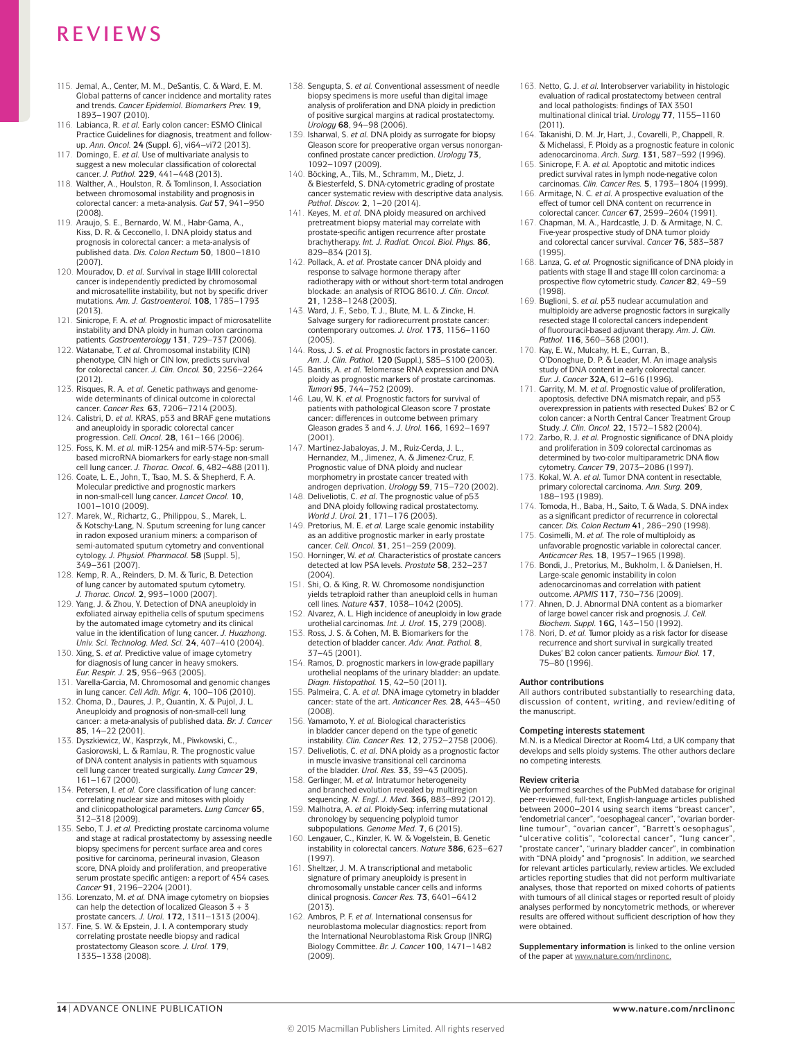- 115. Jemal, A., Center, M. M., DeSantis, C. & Ward, E. M. Global patterns of cancer incidence and mortality rates and trends. *Cancer Epidemiol. Biomarkers Prev.* **19**, 1893–1907 (2010).
- 116. Labianca, R. *et al.* Early colon cancer: ESMO Clinical Practice Guidelines for diagnosis, treatment and followup. *Ann. Oncol.* **24** (Suppl. 6), vi64–vi72 (2013).
- 117. Domingo, E. *et al.* Use of multivariate analysis to suggest a new molecular classification of colorectal cancer. *J. Pathol.* **229**, 441–448 (2013).
- 118. Walther, A., Houlston, R. & Tomlinson, I. Association between chromosomal instability and prognosis in colorectal cancer: a meta-analysis. *Gut* **57**, 941–950 (2008).
- 119. Araujo, S. E., Bernardo, W. M., Habr-Gama, A., Kiss, D. R. & Cecconello, I. DNA ploidy status and prognosis in colorectal cancer: a meta-analysis of published data. *Dis. Colon Rectum* **50**, 1800–1810 (2007).
- 120. Mouradov, D. *et al.* Survival in stage II/III colorectal cancer is independently predicted by chromosomal and microsatellite instability, but not by specific driver mutations. *Am. J. Gastroenterol.* **108**, 1785–1793 (2013).
- 121. Sinicrope, F. A. *et al.* Prognostic impact of microsatellite instability and DNA ploidy in human colon carcinoma patients. *Gastroenterology* **131**, 729–737 (2006).
- 122. Watanabe, T. *et al.* Chromosomal instability (CIN) phenotype, CIN high or CIN low, predicts survival for colorectal cancer. *J. Clin. Oncol.* **30**, 2256–2264 (2012).
- 123. Risques, R. A. *et al.* Genetic pathways and genomewide determinants of clinical outcome in colorectal cancer. *Cancer Res.* **63**, 7206–7214 (2003).
- 124. Calistri, D. *et al.* KRAS, p53 and BRAF gene mutations and aneuploidy in sporadic colorectal cancer
- progression. *Cell. Oncol.* **28**, 161–166 (2006). 125. Foss, K. M. *et al.* miR-1254 and miR-574-5p: serumbased microRNA biomarkers for early-stage non-small cell lung cancer. *J. Thorac. Oncol.* **6**, 482–488 (2011).
- 126. Coate, L. E., John, T., Tsao, M. S. & Shepherd, F. A. Molecular predictive and prognostic markers in non-small-cell lung cancer. *Lancet Oncol.* **10**, 1001–1010 (2009).
- 127. Marek, W., Richartz, G., Philippou, S., Marek, L. & Kotschy-Lang, N. Sputum screening for lung cancer in radon exposed uranium miners: a comparison of semi-automated sputum cytometry and conventional cytology. *J. Physiol. Pharmacol.* **58** (Suppl. 5), 349–361 (2007).
- 128. Kemp, R. A., Reinders, D. M. & Turic, B. Detection of lung cancer by automated sputum cytometry. *J. Thorac. Oncol.* **2**, 993–1000 (2007).
- 129. Yang, J. & Zhou, Y. Detection of DNA aneuploidy in exfoliated airway epithelia cells of sputum specimens by the automated image cytometry and its clinical value in the identification of lung cancer. *J. Huazhong.*
- *Univ. Sci. Technolog. Med. Sci.* **24**, 407–410 (2004). 130. Xing, S. *et al.* Predictive value of image cytometry for diagnosis of lung cancer in heavy smokers. *Eur. Respir. J.* **25**, 956–963 (2005).
- 131. Varella-Garcia, M. Chromosomal and genomic changes in lung cancer. *Cell Adh. Migr.* **4**, 100–106 (2010).
- 132. Choma, D., Daures, J. P., Quantin, X. & Pujol, J. L. Aneuploidy and prognosis of non-small-cell lung cancer: a meta-analysis of published data. *Br. J. Cancer* **85**, 14–22 (2001).
- 133. Dyszkiewicz, W., Kasprzyk, M., Piwkowski, C., Gasiorowski, L. & Ramlau, R. The prognostic value of DNA content analysis in patients with squamous cell lung cancer treated surgically. *Lung Cancer* **29**, 161–167 (2000).
- 134. Petersen, I. *et al.* Core classification of lung cancer: correlating nuclear size and mitoses with ploidy and clinicopathological parameters. *Lung Cancer* **65**, 312–318 (2009).
- 135. Sebo, T. J. *et al.* Predicting prostate carcinoma volume and stage at radical prostatectomy by assessing needle biopsy specimens for percent surface area and cores positive for carcinoma, perineural invasion, Gleason score, DNA ploidy and proliferation, and preoperative serum prostate specific antigen: a report of 454 cases. *Cancer* **91**, 2196–2204 (2001).
- 136. Lorenzato, M. *et al.* DNA image cytometry on biopsies can help the detection of localized Gleason  $3+3$ prostate cancers. *J. Urol.* **172**, 1311–1313 (2004).
- 137. Fine, S. W. & Epstein, J. I. A contemporary study correlating prostate needle biopsy and radical prostatectomy Gleason score. *J. Urol.* **179**, 1335–1338 (2008).
- 138. Sengupta, S. *et al.* Conventional assessment of needle biopsy specimens is more useful than digital image analysis of proliferation and DNA ploidy in prediction of positive surgical margins at radical prostatectomy. *Urology* **68**, 94–98 (2006).
- 139. Isharwal, S. *et al.* DNA ploidy as surrogate for biopsy Gleason score for preoperative organ versus nonorganconfined prostate cancer prediction. *Urology* **73**, 1092–1097 (2009).
- 140. Böcking, A., Tils, M., Schramm, M., Dietz, J. & Biesterfeld, S. DNA-cytometric grading of prostate cancer systematic review with descriptive data analysis. *Pathol. Discov.* **2**, 1–20 (2014).
- 141. Keyes, M. *et al.* DNA ploidy measured on archived pretreatment biopsy material may correlate with prostate-specific antigen recurrence after prostate brachytherapy. *Int. J. Radiat. Oncol. Biol. Phys.* **86**, 829–834 (2013).
- 142. Pollack, A. *et al.* Prostate cancer DNA ploidy and response to salvage hormone therapy after radiotherapy with or without short-term total androgen blockade: an analysis of RTOG 8610. *J. Clin. Oncol.* **21**, 1238–1248 (2003).
- 143. Ward, J. F., Sebo, T. J., Blute, M. L. & Zincke, H. Salvage surgery for radiorecurrent prostate cancer: contemporary outcomes. *J. Urol.* **173**, 1156–1160 (2005).
- 144. Ross, J. S. *et al.* Prognostic factors in prostate cancer. *Am. J. Clin. Pathol.* **120** (Suppl.), S85–S100 (2003).
- 145. Bantis, A. *et al.* Telomerase RNA expression and DNA ploidy as prognostic markers of prostate carcinomas. *Tumori* **95**, 744–752 (2009). 146. Lau, W. K. *et al.* Prognostic factors for survival of
- patients with pathological Gleason score 7 prostate cancer: differences in outcome between primary Gleason grades 3 and 4. *J. Urol.* **166**, 1692–1697 (2001).
- 147. Martinez-Jabaloyas, J. M., Ruiz-Cerda, J. L., Hernandez, M., Jimenez, A. & Jimenez-Cruz, F. Prognostic value of DNA ploidy and nuclear morphometry in prostate cancer treated with
- androgen deprivation. *Urology* **59**, 715–720 (2002). 148. Deliveliotis, C. *et al.* The prognostic value of p53 and DNA ploidy following radical prostatectomy. *World J. Urol.* **21**, 171–176 (2003).
- 149. Pretorius, M. E. *et al.* Large scale genomic instability as an additive prognostic marker in early prostate cancer. *Cell. Oncol.* **31**, 251–259 (2009).
- 150. Horninger, W. *et al.* Characteristics of prostate cancers detected at low PSA levels. *Prostate* **58**, 232–237  $(2004)$
- 151. Shi, Q. & King, R. W. Chromosome nondisjunction yields tetraploid rather than aneuploid cells in human cell lines. *Nature* **437**, 1038–1042 (2005).
- 152. Alvarez, A. L. High incidence of aneuploidy in low grade urothelial carcinomas. *Int. J. Urol.* **15**, 279 (2008).
- 153. Ross, J. S. & Cohen, M. B. Biomarkers for the detection of bladder cancer. *Adv. Anat. Pathol.* **8**, 37–45 (2001).
- 154. Ramos, D. prognostic markers in low-grade papillary urothelial neoplams of the urinary bladder: an update. *Diagn. Histopathol.* **15**, 42–50 (2011).
- 155. Palmeira, C. A. *et al.* DNA image cytometry in bladder cancer: state of the art. *Anticancer Res.* **28**, 443–450 (2008).
- 156. Yamamoto, Y. *et al.* Biological characteristics in bladder cancer depend on the type of genetic instability. *Clin. Cancer Res.* **12**, 2752–2758 (2006).
- 157. Deliveliotis, C. *et al.* DNA ploidy as a prognostic factor in muscle invasive transitional cell carcinoma of the bladder. *Urol. Res.* **33**, 39–43 (2005).
- 158. Gerlinger, M. *et al.* Intratumor heterogeneity and branched evolution revealed by multiregion
- sequencing. *N. Engl. J. Med.* **366**, 883–892 (2012). 159. Malhotra, A. *et al.* Ploidy-Seq: inferring mutational chronology by sequencing polyploid tumor subpopulations. *Genome Med.* **7**, 6 (2015).
- 160. Lengauer, C., Kinzler, K. W. & Vogelstein, B. Genetic instability in colorectal cancers. *Nature* **386**, 623–627 (1997).
- 161. Sheltzer, J. M. A transcriptional and metabolic signature of primary aneuploidy is present in chromosomally unstable cancer cells and informs clinical prognosis. *Cancer Res.* **73**, 6401–6412  $(2013)$
- 162. Ambros, P. F. *et al.* International consensus for neuroblastoma molecular diagnostics: report from the International Neuroblastoma Risk Group (INRG) Biology Committee. *Br. J. Cancer* **100**, 1471–1482  $(2009)$
- 163. Netto, G. J. *et al.* Interobserver variability in histologic evaluation of radical prostatectomy between central and local pathologists: findings of TAX 3501 multinational clinical trial. *Urology* **77**, 1155–1160 (2011).
- 164. Takanishi, D. M. Jr, Hart, J., Covarelli, P., Chappell, R. & Michelassi, F. Ploidy as a prognostic feature in colonic adenocarcinoma. *Arch. Surg.* **131**, 587–592 (1996).
- 165. Sinicrope, F. A. *et al.* Apoptotic and mitotic indices predict survival rates in lymph node-negative colon carcinomas. *Clin. Cancer Res.* **5**, 1793–1804 (1999).
- 166. Armitage, N. C. *et al.* A prospective evaluation of the effect of tumor cell DNA content on recurrence in colorectal cancer. *Cancer* **67**, 2599–2604 (1991).
- 167. Chapman, M. A., Hardcastle, J. D. & Armitage, N. C. Five-year prospective study of DNA tumor ploidy and colorectal cancer survival. *Cancer* **76**, 383–387 (1995).
- 168. Lanza, G. *et al.* Prognostic significance of DNA ploidy in patients with stage II and stage III colon carcinoma: a prospective flow cytometric study. *Cancer* **82**, 49–59 (1998).
- 169. Buglioni, S. *et al.* p53 nuclear accumulation and multiploidy are adverse prognostic factors in surgically resected stage II colorectal cancers independent of fluorouracil-based adjuvant therapy. *Am. J. Clin. Pathol.* **116**, 360–368 (2001).
- 170. Kay, E. W., Mulcahy, H. E., Curran, B., O'Donoghue, D. P. & Leader, M. An image analysis study of DNA content in early colorectal cancer. *Eur. J. Cancer* **32A**, 612–616 (1996).
- 171. Garrity, M. M. *et al.* Prognostic value of proliferation, apoptosis, defective DNA mismatch repair, and p53 overexpression in patients with resected Dukes' B2 or C colon cancer: a North Central Cancer Treatment Group Study. *J. Clin. Oncol.* **22**, 1572–1582 (2004).
- 172. Zarbo, R. J. *et al.* Prognostic significance of DNA ploidy and proliferation in 309 colorectal carcinomas as determined by two-color multiparametric DNA flow cytometry. *Cancer* **79**, 2073–2086 (1997).
- 173. Kokal, W. A. *et al.* Tumor DNA content in resectable, primary colorectal carcinoma. *Ann. Surg.* **209**, 188–193 (1989).
- 174. Tomoda, H., Baba, H., Saito, T. & Wada, S. DNA index as a significant predictor of recurrence in colorectal cancer. *Dis. Colon Rectum* **41**, 286–290 (1998).
- 175. Cosimelli, M. *et al.* The role of multiploidy as unfavorable prognostic variable in colorectal cancer. *Anticancer Res.* **18**, 1957–1965 (1998).
- 176. Bondi, J., Pretorius, M., Bukholm, I. & Danielsen, H. Large-scale genomic instability in colon adenocarcinomas and correlation with patient outcome. *APMIS* **117**, 730–736 (2009).
- 177. Ahnen, D. J. Abnormal DNA content as a biomarker of large bowel cancer risk and prognosis. *J. Cell. Biochem. Suppl.* **16G**, 143–150 (1992).
- 178. Nori, D. *et al.* Tumor ploidy as a risk factor for disease recurrence and short survival in surgically treated Dukes' B2 colon cancer patients. *Tumour Biol.* **17**, 75–80 (1996).

#### **Author contributions**

All authors contributed substantially to researching data, discussion of content, writing, and review/editing of the manuscript.

#### **Competing interests statement**

M.N. is a Medical Director at Room4 Ltd, a UK company that develops and sells ploidy systems. The other authors declare no competing interests.

#### **Review criteria**

We performed searches of the PubMed database for original peer-reviewed, full-text, English-language articles published between 2000–2014 using search items "breast cancer", "endometrial cancer", "oesophageal cancer", "ovarian borderline tumour", "ovarian cancer", "Barrett's oesophagus", "ulcerative colitis", "colorectal cancer", "lung cancer", "prostate cancer", "urinary bladder cancer", in combination with "DNA ploidy" and "prognosis". In addition, we searched for relevant articles particularly, review articles. We excluded articles reporting studies that did not perform multivariate analyses, those that reported on mixed cohorts of patients with tumours of all clinical stages or reported result of ploidy analyses performed by noncytometric methods, or wherever results are offered without sufficient description of how they were obtained.

**Supplementary information** is linked to the online version of the paper at [www.nature.com/nrclinonc](http://www.nature.com/nrclinonc).